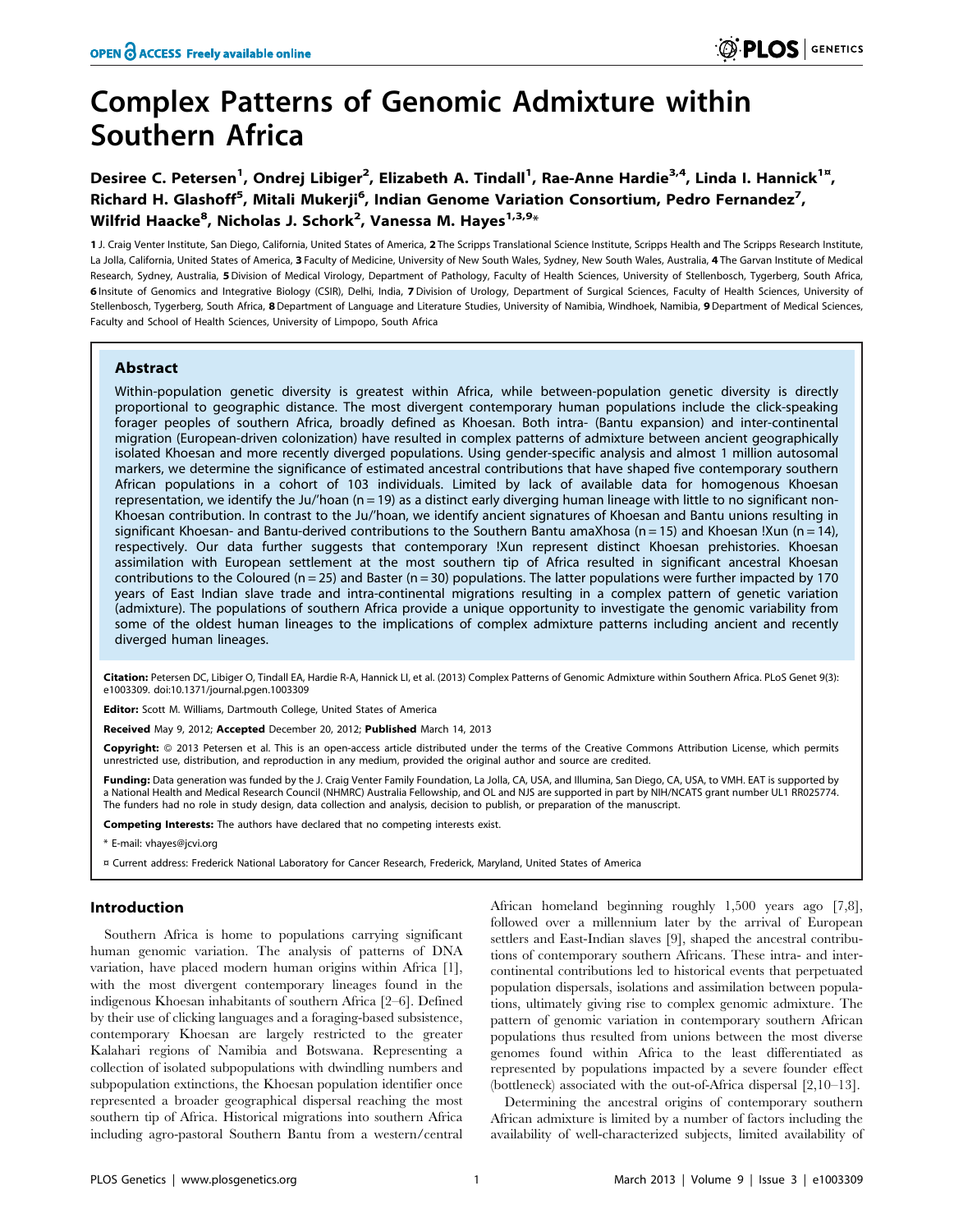# Complex Patterns of Genomic Admixture within Southern Africa

Desiree C. Petersen<sup>1</sup>, Ondrej Libiger<sup>2</sup>, Elizabeth A. Tindall<sup>1</sup>, Rae-Anne Hardie<sup>3,4</sup>, Linda I. Hannick<sup>1¤</sup>, Richard H. Glashoff<sup>5</sup>, Mitali Mukerji<sup>6</sup>, Indian Genome Variation Consortium, Pedro Fernandez<sup>7</sup>, Wilfrid Haacke $^{\bf 8}$ , Nicholas J. Schork $^{\bf 2}$ , Vanessa M. Hayes $^{\bf 1,3,9_+}$ 

1 J. Craig Venter Institute, San Diego, California, United States of America, 2 The Scripps Translational Science Institute, Scripps Health and The Scripps Research Institute, La Jolla, California, United States of America, 3 Faculty of Medicine, University of New South Wales, Sydney, New South Wales, Australia, 4 The Garvan Institute of Medical Research, Sydney, Australia, 5 Division of Medical Virology, Department of Pathology, Faculty of Health Sciences, University of Stellenbosch, Tygerberg, South Africa, 6 Insitute of Genomics and Integrative Biology (CSIR), Delhi, India, 7 Division of Urology, Department of Surgical Sciences, Faculty of Health Sciences, University of Stellenbosch, Tygerberg, South Africa, 8 Department of Language and Literature Studies, University of Namibia, Windhoek, Namibia, 9 Department of Medical Sciences, Faculty and School of Health Sciences, University of Limpopo, South Africa

# Abstract

Within-population genetic diversity is greatest within Africa, while between-population genetic diversity is directly proportional to geographic distance. The most divergent contemporary human populations include the click-speaking forager peoples of southern Africa, broadly defined as Khoesan. Both intra- (Bantu expansion) and inter-continental migration (European-driven colonization) have resulted in complex patterns of admixture between ancient geographically isolated Khoesan and more recently diverged populations. Using gender-specific analysis and almost 1 million autosomal markers, we determine the significance of estimated ancestral contributions that have shaped five contemporary southern African populations in a cohort of 103 individuals. Limited by lack of available data for homogenous Khoesan representation, we identify the Ju/'hoan ( $n = 19$ ) as a distinct early diverging human lineage with little to no significant non-Khoesan contribution. In contrast to the Ju/'hoan, we identify ancient signatures of Khoesan and Bantu unions resulting in significant Khoesan- and Bantu-derived contributions to the Southern Bantu amaXhosa (n = 15) and Khoesan !Xun (n = 14), respectively. Our data further suggests that contemporary !Xun represent distinct Khoesan prehistories. Khoesan assimilation with European settlement at the most southern tip of Africa resulted in significant ancestral Khoesan contributions to the Coloured ( $n = 25$ ) and Baster ( $n = 30$ ) populations. The latter populations were further impacted by 170 years of East Indian slave trade and intra-continental migrations resulting in a complex pattern of genetic variation (admixture). The populations of southern Africa provide a unique opportunity to investigate the genomic variability from some of the oldest human lineages to the implications of complex admixture patterns including ancient and recently diverged human lineages.

Citation: Petersen DC, Libiger O, Tindall EA, Hardie R-A, Hannick LI, et al. (2013) Complex Patterns of Genomic Admixture within Southern Africa. PLoS Genet 9(3): e1003309. doi:10.1371/journal.pgen.1003309

Editor: Scott M. Williams, Dartmouth College, United States of America

Received May 9, 2012; Accepted December 20, 2012; Published March 14, 2013

Copyright: @ 2013 Petersen et al. This is an open-access article distributed under the terms of the Creative Commons Attribution License, which permits unrestricted use, distribution, and reproduction in any medium, provided the original author and source are credited.

Funding: Data generation was funded by the J. Craig Venter Family Foundation, La Jolla, CA, USA, and Illumina, San Diego, CA, USA, to VMH. EAT is supported by a National Health and Medical Research Council (NHMRC) Australia Fellowship, and OL and NJS are supported in part by NIH/NCATS grant number UL1 RR025774. The funders had no role in study design, data collection and analysis, decision to publish, or preparation of the manuscript.

Competing Interests: The authors have declared that no competing interests exist.

\* E-mail: vhayes@jcvi.org

¤ Current address: Frederick National Laboratory for Cancer Research, Frederick, Maryland, United States of America

# Introduction

Southern Africa is home to populations carrying significant human genomic variation. The analysis of patterns of DNA variation, have placed modern human origins within Africa [1], with the most divergent contemporary lineages found in the indigenous Khoesan inhabitants of southern Africa [2–6]. Defined by their use of clicking languages and a foraging-based subsistence, contemporary Khoesan are largely restricted to the greater Kalahari regions of Namibia and Botswana. Representing a collection of isolated subpopulations with dwindling numbers and subpopulation extinctions, the Khoesan population identifier once represented a broader geographical dispersal reaching the most southern tip of Africa. Historical migrations into southern Africa including agro-pastoral Southern Bantu from a western/central

African homeland beginning roughly 1,500 years ago [7,8], followed over a millennium later by the arrival of European settlers and East-Indian slaves [9], shaped the ancestral contributions of contemporary southern Africans. These intra- and intercontinental contributions led to historical events that perpetuated population dispersals, isolations and assimilation between populations, ultimately giving rise to complex genomic admixture. The pattern of genomic variation in contemporary southern African populations thus resulted from unions between the most diverse genomes found within Africa to the least differentiated as represented by populations impacted by a severe founder effect (bottleneck) associated with the out-of-Africa dispersal [2,10–13].

Determining the ancestral origins of contemporary southern African admixture is limited by a number of factors including the availability of well-characterized subjects, limited availability of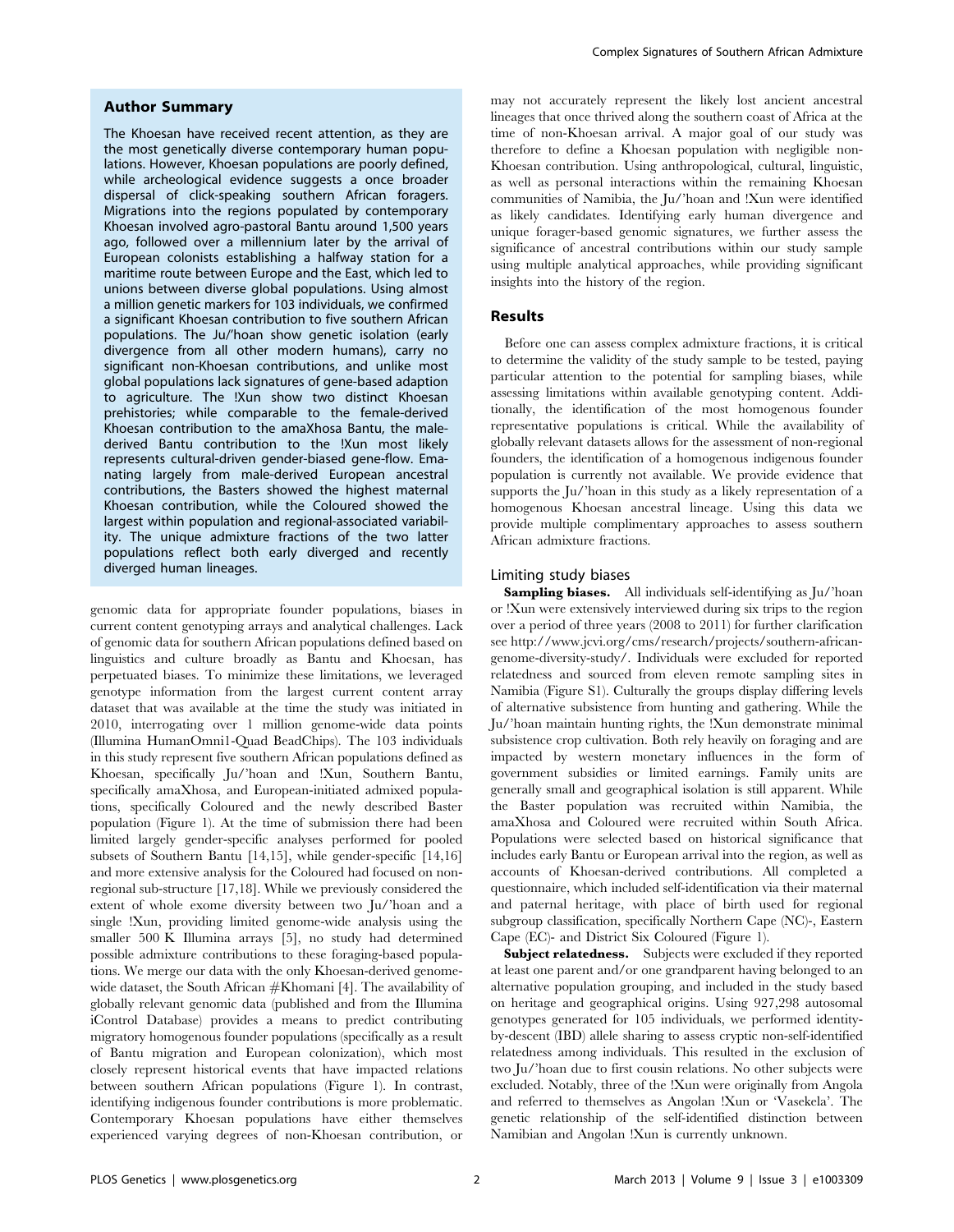# Author Summary

The Khoesan have received recent attention, as they are the most genetically diverse contemporary human populations. However, Khoesan populations are poorly defined, while archeological evidence suggests a once broader dispersal of click-speaking southern African foragers. Migrations into the regions populated by contemporary Khoesan involved agro-pastoral Bantu around 1,500 years ago, followed over a millennium later by the arrival of European colonists establishing a halfway station for a maritime route between Europe and the East, which led to unions between diverse global populations. Using almost a million genetic markers for 103 individuals, we confirmed a significant Khoesan contribution to five southern African populations. The Ju/'hoan show genetic isolation (early divergence from all other modern humans), carry no significant non-Khoesan contributions, and unlike most global populations lack signatures of gene-based adaption to agriculture. The !Xun show two distinct Khoesan prehistories; while comparable to the female-derived Khoesan contribution to the amaXhosa Bantu, the malederived Bantu contribution to the !Xun most likely represents cultural-driven gender-biased gene-flow. Emanating largely from male-derived European ancestral contributions, the Basters showed the highest maternal Khoesan contribution, while the Coloured showed the largest within population and regional-associated variability. The unique admixture fractions of the two latter populations reflect both early diverged and recently diverged human lineages.

genomic data for appropriate founder populations, biases in current content genotyping arrays and analytical challenges. Lack of genomic data for southern African populations defined based on linguistics and culture broadly as Bantu and Khoesan, has perpetuated biases. To minimize these limitations, we leveraged genotype information from the largest current content array dataset that was available at the time the study was initiated in 2010, interrogating over 1 million genome-wide data points (Illumina HumanOmni1-Quad BeadChips). The 103 individuals in this study represent five southern African populations defined as Khoesan, specifically Ju/'hoan and !Xun, Southern Bantu, specifically amaXhosa, and European-initiated admixed populations, specifically Coloured and the newly described Baster population (Figure 1). At the time of submission there had been limited largely gender-specific analyses performed for pooled subsets of Southern Bantu [14,15], while gender-specific [14,16] and more extensive analysis for the Coloured had focused on nonregional sub-structure [17,18]. While we previously considered the extent of whole exome diversity between two Ju/'hoan and a single !Xun, providing limited genome-wide analysis using the smaller 500 K Illumina arrays [5], no study had determined possible admixture contributions to these foraging-based populations. We merge our data with the only Khoesan-derived genomewide dataset, the South African #Khomani [4]. The availability of globally relevant genomic data (published and from the Illumina iControl Database) provides a means to predict contributing migratory homogenous founder populations (specifically as a result of Bantu migration and European colonization), which most closely represent historical events that have impacted relations between southern African populations (Figure 1). In contrast, identifying indigenous founder contributions is more problematic. Contemporary Khoesan populations have either themselves experienced varying degrees of non-Khoesan contribution, or

may not accurately represent the likely lost ancient ancestral lineages that once thrived along the southern coast of Africa at the time of non-Khoesan arrival. A major goal of our study was therefore to define a Khoesan population with negligible non-Khoesan contribution. Using anthropological, cultural, linguistic, as well as personal interactions within the remaining Khoesan communities of Namibia, the Ju/'hoan and !Xun were identified as likely candidates. Identifying early human divergence and unique forager-based genomic signatures, we further assess the significance of ancestral contributions within our study sample using multiple analytical approaches, while providing significant insights into the history of the region.

## Results

Before one can assess complex admixture fractions, it is critical to determine the validity of the study sample to be tested, paying particular attention to the potential for sampling biases, while assessing limitations within available genotyping content. Additionally, the identification of the most homogenous founder representative populations is critical. While the availability of globally relevant datasets allows for the assessment of non-regional founders, the identification of a homogenous indigenous founder population is currently not available. We provide evidence that supports the Ju/'hoan in this study as a likely representation of a homogenous Khoesan ancestral lineage. Using this data we provide multiple complimentary approaches to assess southern African admixture fractions.

## Limiting study biases

Sampling biases. All individuals self-identifying as Ju/'hoan or !Xun were extensively interviewed during six trips to the region over a period of three years (2008 to 2011) for further clarification see http://www.jcvi.org/cms/research/projects/southern-africangenome-diversity-study/. Individuals were excluded for reported relatedness and sourced from eleven remote sampling sites in Namibia (Figure S1). Culturally the groups display differing levels of alternative subsistence from hunting and gathering. While the Ju/'hoan maintain hunting rights, the !Xun demonstrate minimal subsistence crop cultivation. Both rely heavily on foraging and are impacted by western monetary influences in the form of government subsidies or limited earnings. Family units are generally small and geographical isolation is still apparent. While the Baster population was recruited within Namibia, the amaXhosa and Coloured were recruited within South Africa. Populations were selected based on historical significance that includes early Bantu or European arrival into the region, as well as accounts of Khoesan-derived contributions. All completed a questionnaire, which included self-identification via their maternal and paternal heritage, with place of birth used for regional subgroup classification, specifically Northern Cape (NC)-, Eastern Cape (EC)- and District Six Coloured (Figure 1).

Subject relatedness. Subjects were excluded if they reported at least one parent and/or one grandparent having belonged to an alternative population grouping, and included in the study based on heritage and geographical origins. Using 927,298 autosomal genotypes generated for 105 individuals, we performed identityby-descent (IBD) allele sharing to assess cryptic non-self-identified relatedness among individuals. This resulted in the exclusion of two Ju/'hoan due to first cousin relations. No other subjects were excluded. Notably, three of the !Xun were originally from Angola and referred to themselves as Angolan !Xun or 'Vasekela'. The genetic relationship of the self-identified distinction between Namibian and Angolan !Xun is currently unknown.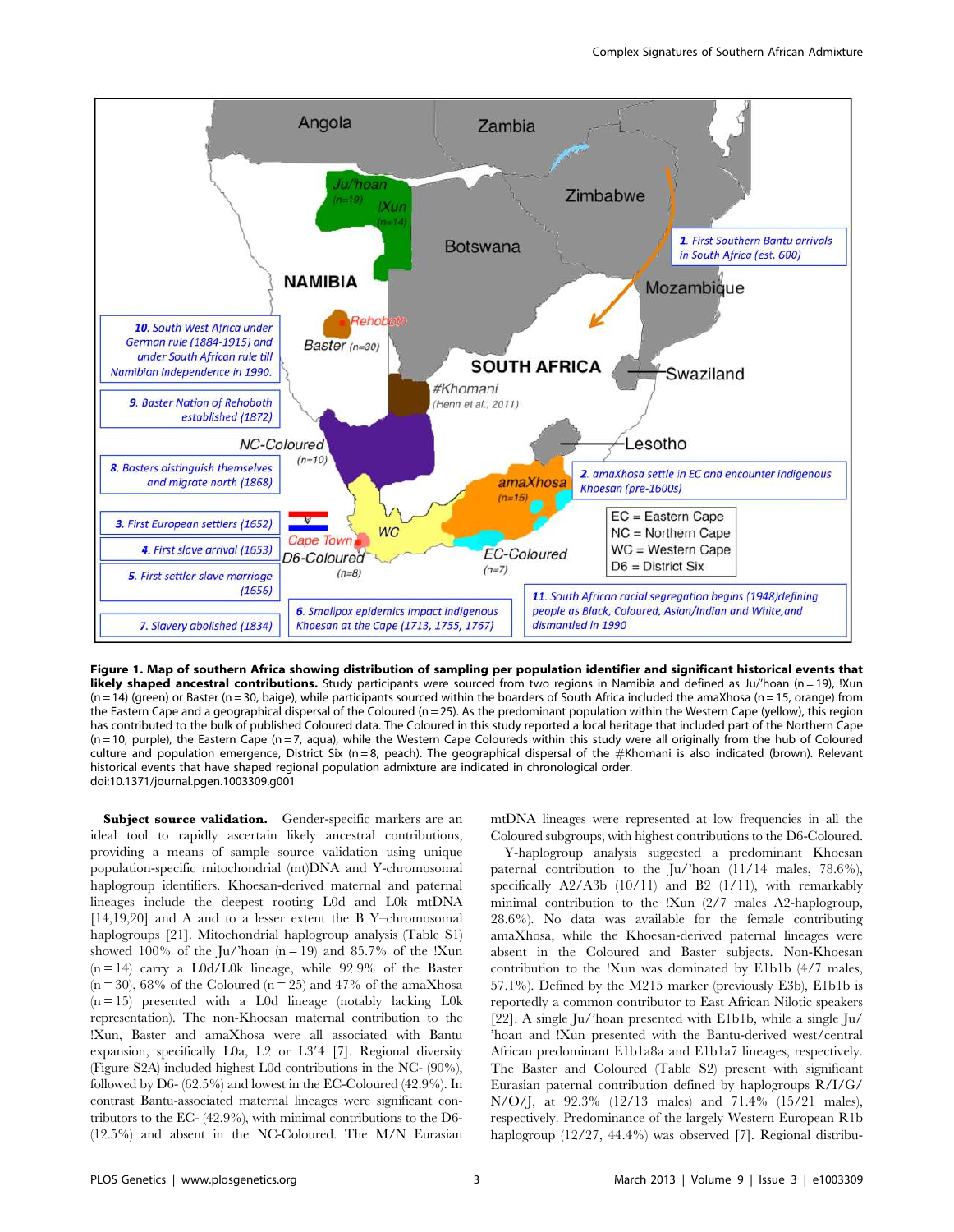

Figure 1. Map of southern Africa showing distribution of sampling per population identifier and significant historical events that likely shaped ancestral contributions. Study participants were sourced from two regions in Namibia and defined as Ju/'hoan ( $n = 19$ ), !Xun  $(n = 14)$  (green) or Baster (n = 30, baige), while participants sourced within the boarders of South Africa included the amaXhosa (n = 15, orange) from the Eastern Cape and a geographical dispersal of the Coloured (n = 25). As the predominant population within the Western Cape (yellow), this region has contributed to the bulk of published Coloured data. The Coloured in this study reported a local heritage that included part of the Northern Cape  $(n = 10$ , purple), the Eastern Cape  $(n = 7)$ , aqua), while the Western Cape Coloureds within this study were all originally from the hub of Coloured culture and population emergence, District Six (n = 8, peach). The geographical dispersal of the  $#K$ homani is also indicated (brown). Relevant historical events that have shaped regional population admixture are indicated in chronological order. doi:10.1371/journal.pgen.1003309.g001

Subject source validation. Gender-specific markers are an ideal tool to rapidly ascertain likely ancestral contributions, providing a means of sample source validation using unique population-specific mitochondrial (mt)DNA and Y-chromosomal haplogroup identifiers. Khoesan-derived maternal and paternal lineages include the deepest rooting L0d and L0k mtDNA [14,19,20] and A and to a lesser extent the B Y–chromosomal haplogroups [21]. Mitochondrial haplogroup analysis (Table S1) showed 100% of the Ju/'hoan ( $n = 19$ ) and 85.7% of the !Xun  $(n = 14)$  carry a L0d/L0k lineage, while 92.9% of the Baster  $(n = 30)$ , 68% of the Coloured  $(n = 25)$  and 47% of the amaXhosa  $(n = 15)$  presented with a L0d lineage (notably lacking L0k) representation). The non-Khoesan maternal contribution to the !Xun, Baster and amaXhosa were all associated with Bantu expansion, specifically L0a, L2 or L3'4 [7]. Regional diversity (Figure S2A) included highest L0d contributions in the NC- (90%), followed by D6- (62.5%) and lowest in the EC-Coloured (42.9%). In contrast Bantu-associated maternal lineages were significant contributors to the EC- (42.9%), with minimal contributions to the D6- (12.5%) and absent in the NC-Coloured. The M/N Eurasian mtDNA lineages were represented at low frequencies in all the Coloured subgroups, with highest contributions to the D6-Coloured.

Y-haplogroup analysis suggested a predominant Khoesan paternal contribution to the Ju/'hoan (11/14 males, 78.6%), specifically A2/A3b (10/11) and B2 (1/11), with remarkably minimal contribution to the !Xun (2/7 males A2-haplogroup, 28.6%). No data was available for the female contributing amaXhosa, while the Khoesan-derived paternal lineages were absent in the Coloured and Baster subjects. Non-Khoesan contribution to the !Xun was dominated by E1b1b (4/7 males, 57.1%). Defined by the M215 marker (previously E3b), E1b1b is reportedly a common contributor to East African Nilotic speakers [22]. A single Ju/'hoan presented with E1b1b, while a single Ju/ 'hoan and !Xun presented with the Bantu-derived west/central African predominant E1b1a8a and E1b1a7 lineages, respectively. The Baster and Coloured (Table S2) present with significant Eurasian paternal contribution defined by haplogroups R/I/G/ N/O/J, at 92.3% (12/13 males) and 71.4% (15/21 males), respectively. Predominance of the largely Western European R1b haplogroup (12/27, 44.4%) was observed [7]. Regional distribu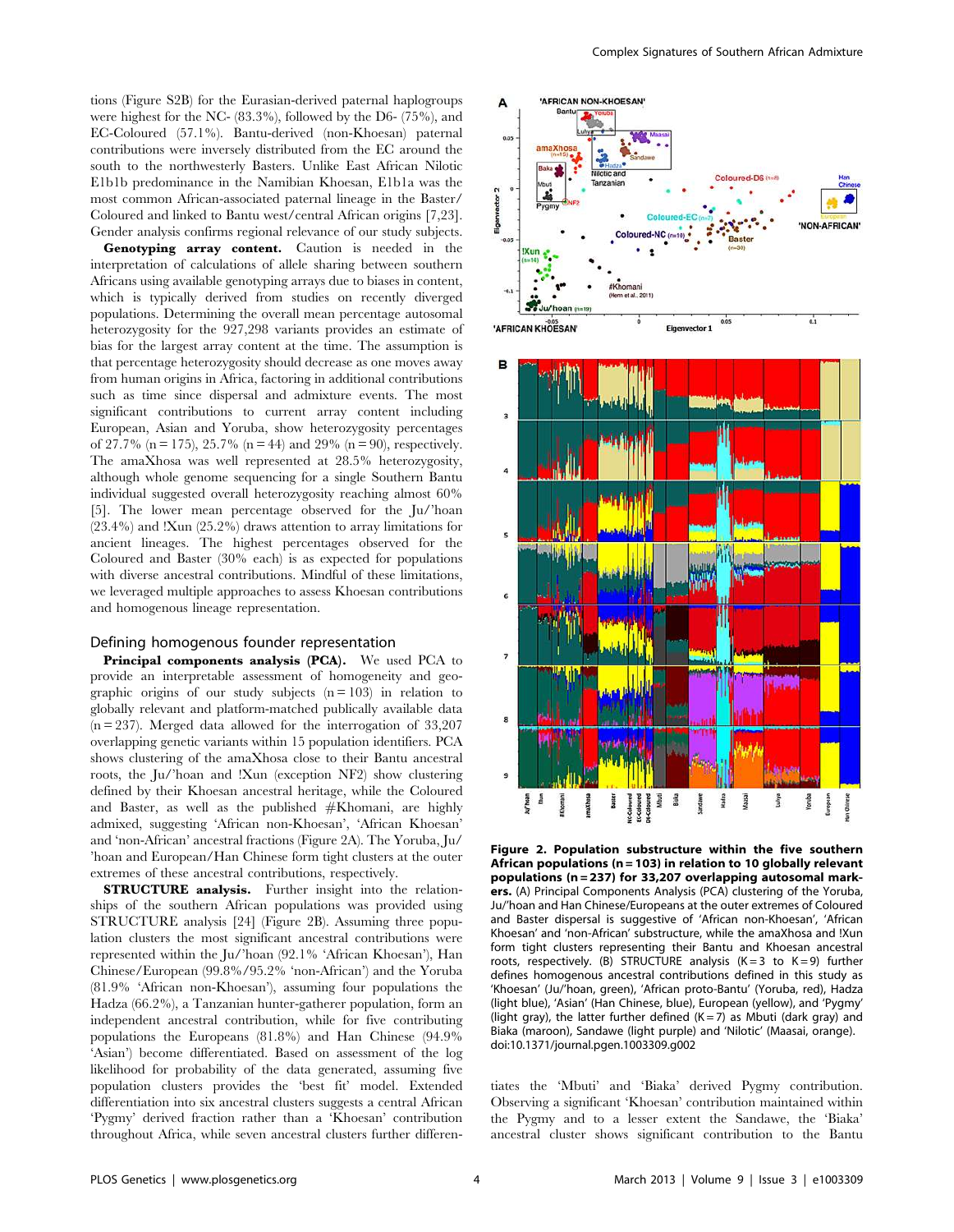tions (Figure S2B) for the Eurasian-derived paternal haplogroups were highest for the NC- (83.3%), followed by the D6- (75%), and EC-Coloured (57.1%). Bantu-derived (non-Khoesan) paternal contributions were inversely distributed from the EC around the south to the northwesterly Basters. Unlike East African Nilotic E1b1b predominance in the Namibian Khoesan, E1b1a was the most common African-associated paternal lineage in the Baster/ Coloured and linked to Bantu west/central African origins [7,23]. Gender analysis confirms regional relevance of our study subjects.

Genotyping array content. Caution is needed in the interpretation of calculations of allele sharing between southern Africans using available genotyping arrays due to biases in content, which is typically derived from studies on recently diverged populations. Determining the overall mean percentage autosomal heterozygosity for the 927,298 variants provides an estimate of bias for the largest array content at the time. The assumption is that percentage heterozygosity should decrease as one moves away from human origins in Africa, factoring in additional contributions such as time since dispersal and admixture events. The most significant contributions to current array content including European, Asian and Yoruba, show heterozygosity percentages of 27.7% (n = 175), 25.7% (n = 44) and 29% (n = 90), respectively. The amaXhosa was well represented at 28.5% heterozygosity, although whole genome sequencing for a single Southern Bantu individual suggested overall heterozygosity reaching almost 60% [5]. The lower mean percentage observed for the Ju/'hoan  $(23.4\%)$  and !Xun  $(25.2\%)$  draws attention to array limitations for ancient lineages. The highest percentages observed for the Coloured and Baster (30% each) is as expected for populations with diverse ancestral contributions. Mindful of these limitations, we leveraged multiple approaches to assess Khoesan contributions and homogenous lineage representation.

# Defining homogenous founder representation

Principal components analysis (PCA). We used PCA to provide an interpretable assessment of homogeneity and geographic origins of our study subjects  $(n = 103)$  in relation to globally relevant and platform-matched publically available data  $(n = 237)$ . Merged data allowed for the interrogation of 33,207 overlapping genetic variants within 15 population identifiers. PCA shows clustering of the amaXhosa close to their Bantu ancestral roots, the Ju/'hoan and !Xun (exception NF2) show clustering defined by their Khoesan ancestral heritage, while the Coloured and Baster, as well as the published #Khomani, are highly admixed, suggesting 'African non-Khoesan', 'African Khoesan' and 'non-African' ancestral fractions (Figure 2A). The Yoruba, Ju/ 'hoan and European/Han Chinese form tight clusters at the outer extremes of these ancestral contributions, respectively.

STRUCTURE analysis. Further insight into the relationships of the southern African populations was provided using STRUCTURE analysis [24] (Figure 2B). Assuming three population clusters the most significant ancestral contributions were represented within the Ju/'hoan (92.1% 'African Khoesan'), Han Chinese/European (99.8%/95.2% 'non-African') and the Yoruba (81.9% 'African non-Khoesan'), assuming four populations the Hadza (66.2%), a Tanzanian hunter-gatherer population, form an independent ancestral contribution, while for five contributing populations the Europeans (81.8%) and Han Chinese (94.9% 'Asian') become differentiated. Based on assessment of the log likelihood for probability of the data generated, assuming five population clusters provides the 'best fit' model. Extended differentiation into six ancestral clusters suggests a central African 'Pygmy' derived fraction rather than a 'Khoesan' contribution throughout Africa, while seven ancestral clusters further differen-



Figure 2. Population substructure within the five southern African populations ( $n = 103$ ) in relation to 10 globally relevant populations (n = 237) for 33,207 overlapping autosomal markers. (A) Principal Components Analysis (PCA) clustering of the Yoruba, Ju/'hoan and Han Chinese/Europeans at the outer extremes of Coloured and Baster dispersal is suggestive of 'African non-Khoesan', 'African Khoesan' and 'non-African' substructure, while the amaXhosa and !Xun form tight clusters representing their Bantu and Khoesan ancestral roots, respectively. (B) STRUCTURE analysis  $(K = 3$  to  $K = 9)$  further defines homogenous ancestral contributions defined in this study as 'Khoesan' (Ju/'hoan, green), 'African proto-Bantu' (Yoruba, red), Hadza (light blue), 'Asian' (Han Chinese, blue), European (yellow), and 'Pygmy' (light gray), the latter further defined  $(K=7)$  as Mbuti (dark gray) and Biaka (maroon), Sandawe (light purple) and 'Nilotic' (Maasai, orange). doi:10.1371/journal.pgen.1003309.g002

tiates the 'Mbuti' and 'Biaka' derived Pygmy contribution. Observing a significant 'Khoesan' contribution maintained within the Pygmy and to a lesser extent the Sandawe, the 'Biaka' ancestral cluster shows significant contribution to the Bantu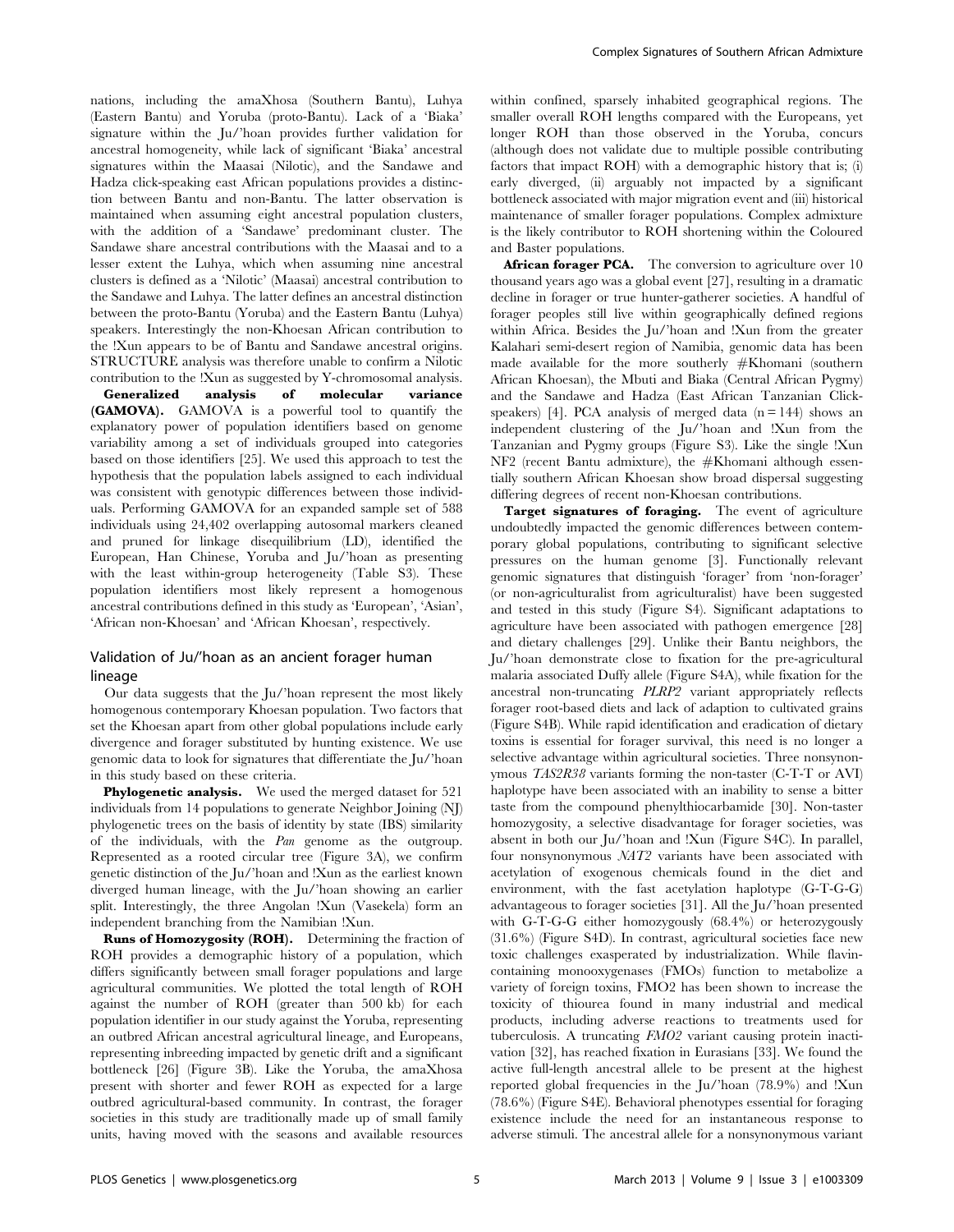nations, including the amaXhosa (Southern Bantu), Luhya (Eastern Bantu) and Yoruba (proto-Bantu). Lack of a 'Biaka' signature within the Ju/'hoan provides further validation for ancestral homogeneity, while lack of significant 'Biaka' ancestral signatures within the Maasai (Nilotic), and the Sandawe and Hadza click-speaking east African populations provides a distinction between Bantu and non-Bantu. The latter observation is maintained when assuming eight ancestral population clusters, with the addition of a 'Sandawe' predominant cluster. The Sandawe share ancestral contributions with the Maasai and to a lesser extent the Luhya, which when assuming nine ancestral clusters is defined as a 'Nilotic' (Maasai) ancestral contribution to the Sandawe and Luhya. The latter defines an ancestral distinction between the proto-Bantu (Yoruba) and the Eastern Bantu (Luhya) speakers. Interestingly the non-Khoesan African contribution to the !Xun appears to be of Bantu and Sandawe ancestral origins. STRUCTURE analysis was therefore unable to confirm a Nilotic contribution to the !Xun as suggested by Y-chromosomal analysis.

Generalized analysis of molecular variance (GAMOVA). GAMOVA is a powerful tool to quantify the explanatory power of population identifiers based on genome variability among a set of individuals grouped into categories based on those identifiers [25]. We used this approach to test the hypothesis that the population labels assigned to each individual was consistent with genotypic differences between those individuals. Performing GAMOVA for an expanded sample set of 588 individuals using 24,402 overlapping autosomal markers cleaned and pruned for linkage disequilibrium (LD), identified the European, Han Chinese, Yoruba and Ju/'hoan as presenting with the least within-group heterogeneity (Table S3). These population identifiers most likely represent a homogenous ancestral contributions defined in this study as 'European', 'Asian', 'African non-Khoesan' and 'African Khoesan', respectively.

# Validation of Ju/'hoan as an ancient forager human lineage

Our data suggests that the Ju/'hoan represent the most likely homogenous contemporary Khoesan population. Two factors that set the Khoesan apart from other global populations include early divergence and forager substituted by hunting existence. We use genomic data to look for signatures that differentiate the Ju/'hoan in this study based on these criteria.

Phylogenetic analysis. We used the merged dataset for 521 individuals from 14 populations to generate Neighbor Joining (NJ) phylogenetic trees on the basis of identity by state (IBS) similarity of the individuals, with the Pan genome as the outgroup. Represented as a rooted circular tree (Figure 3A), we confirm genetic distinction of the Ju/'hoan and !Xun as the earliest known diverged human lineage, with the Ju/'hoan showing an earlier split. Interestingly, the three Angolan !Xun (Vasekela) form an independent branching from the Namibian !Xun.

Runs of Homozygosity (ROH). Determining the fraction of ROH provides a demographic history of a population, which differs significantly between small forager populations and large agricultural communities. We plotted the total length of ROH against the number of ROH (greater than 500 kb) for each population identifier in our study against the Yoruba, representing an outbred African ancestral agricultural lineage, and Europeans, representing inbreeding impacted by genetic drift and a significant bottleneck [26] (Figure 3B). Like the Yoruba, the amaXhosa present with shorter and fewer ROH as expected for a large outbred agricultural-based community. In contrast, the forager societies in this study are traditionally made up of small family units, having moved with the seasons and available resources

within confined, sparsely inhabited geographical regions. The smaller overall ROH lengths compared with the Europeans, yet longer ROH than those observed in the Yoruba, concurs (although does not validate due to multiple possible contributing factors that impact ROH) with a demographic history that is; (i) early diverged, (ii) arguably not impacted by a significant bottleneck associated with major migration event and (iii) historical maintenance of smaller forager populations. Complex admixture is the likely contributor to ROH shortening within the Coloured and Baster populations.

African forager PCA. The conversion to agriculture over 10 thousand years ago was a global event [27], resulting in a dramatic decline in forager or true hunter-gatherer societies. A handful of forager peoples still live within geographically defined regions within Africa. Besides the Ju/'hoan and !Xun from the greater Kalahari semi-desert region of Namibia, genomic data has been made available for the more southerly #Khomani (southern African Khoesan), the Mbuti and Biaka (Central African Pygmy) and the Sandawe and Hadza (East African Tanzanian Clickspeakers) [4]. PCA analysis of merged data  $(n = 144)$  shows an independent clustering of the Ju/'hoan and !Xun from the Tanzanian and Pygmy groups (Figure S3). Like the single !Xun NF2 (recent Bantu admixture), the #Khomani although essentially southern African Khoesan show broad dispersal suggesting differing degrees of recent non-Khoesan contributions.

Target signatures of foraging. The event of agriculture undoubtedly impacted the genomic differences between contemporary global populations, contributing to significant selective pressures on the human genome [3]. Functionally relevant genomic signatures that distinguish 'forager' from 'non-forager' (or non-agriculturalist from agriculturalist) have been suggested and tested in this study (Figure S4). Significant adaptations to agriculture have been associated with pathogen emergence [28] and dietary challenges [29]. Unlike their Bantu neighbors, the Ju/'hoan demonstrate close to fixation for the pre-agricultural malaria associated Duffy allele (Figure S4A), while fixation for the ancestral non-truncating PLRP2 variant appropriately reflects forager root-based diets and lack of adaption to cultivated grains (Figure S4B). While rapid identification and eradication of dietary toxins is essential for forager survival, this need is no longer a selective advantage within agricultural societies. Three nonsynonymous TAS2R38 variants forming the non-taster (C-T-T or AVI) haplotype have been associated with an inability to sense a bitter taste from the compound phenylthiocarbamide [30]. Non-taster homozygosity, a selective disadvantage for forager societies, was absent in both our Ju/'hoan and !Xun (Figure S4C). In parallel, four nonsynonymous NAT2 variants have been associated with acetylation of exogenous chemicals found in the diet and environment, with the fast acetylation haplotype (G-T-G-G) advantageous to forager societies [31]. All the Ju/'hoan presented with G-T-G-G either homozygously (68.4%) or heterozygously (31.6%) (Figure S4D). In contrast, agricultural societies face new toxic challenges exasperated by industrialization. While flavincontaining monooxygenases (FMOs) function to metabolize a variety of foreign toxins, FMO2 has been shown to increase the toxicity of thiourea found in many industrial and medical products, including adverse reactions to treatments used for tuberculosis. A truncating FMO2 variant causing protein inactivation [32], has reached fixation in Eurasians [33]. We found the active full-length ancestral allele to be present at the highest reported global frequencies in the Ju/'hoan (78.9%) and !Xun (78.6%) (Figure S4E). Behavioral phenotypes essential for foraging existence include the need for an instantaneous response to adverse stimuli. The ancestral allele for a nonsynonymous variant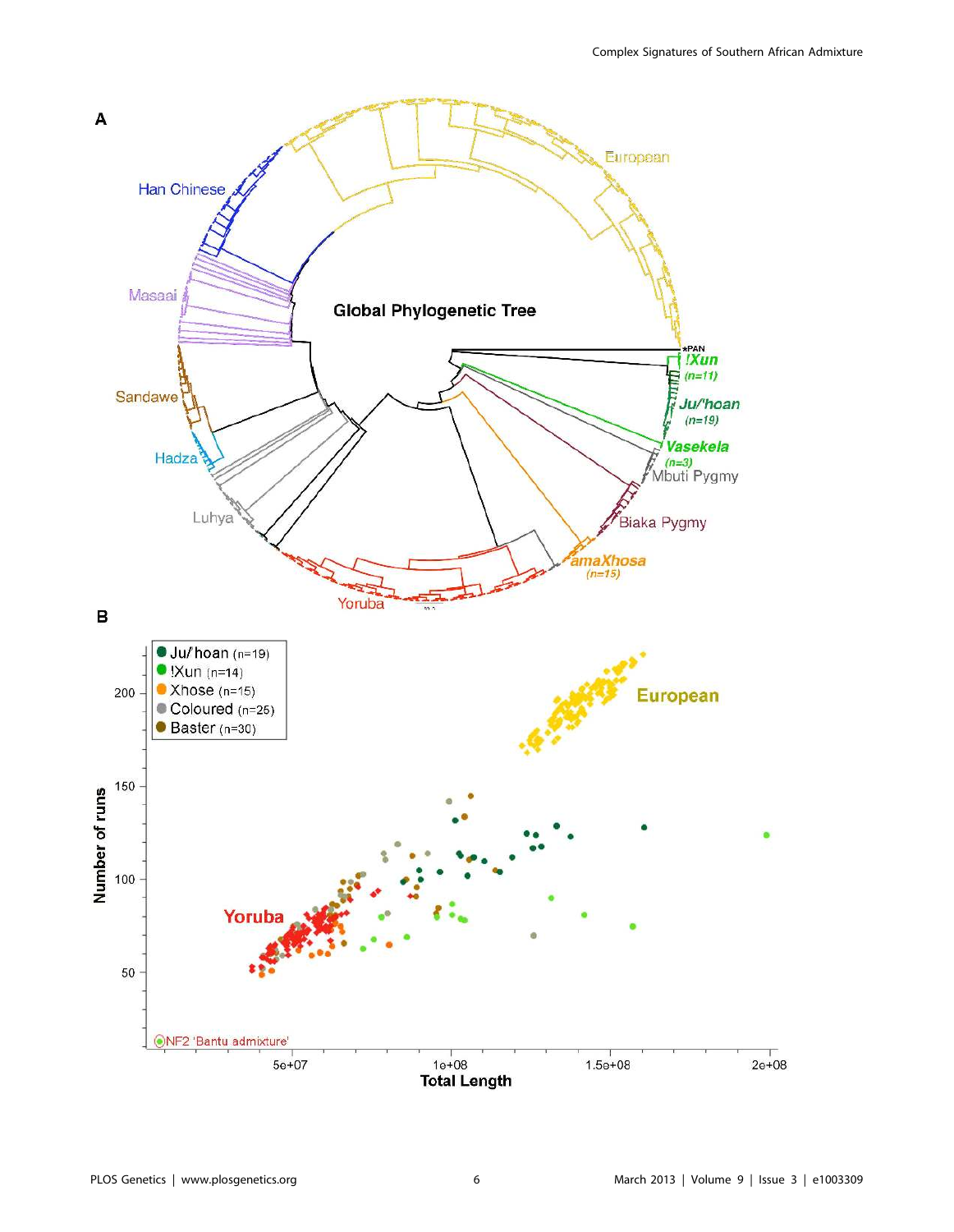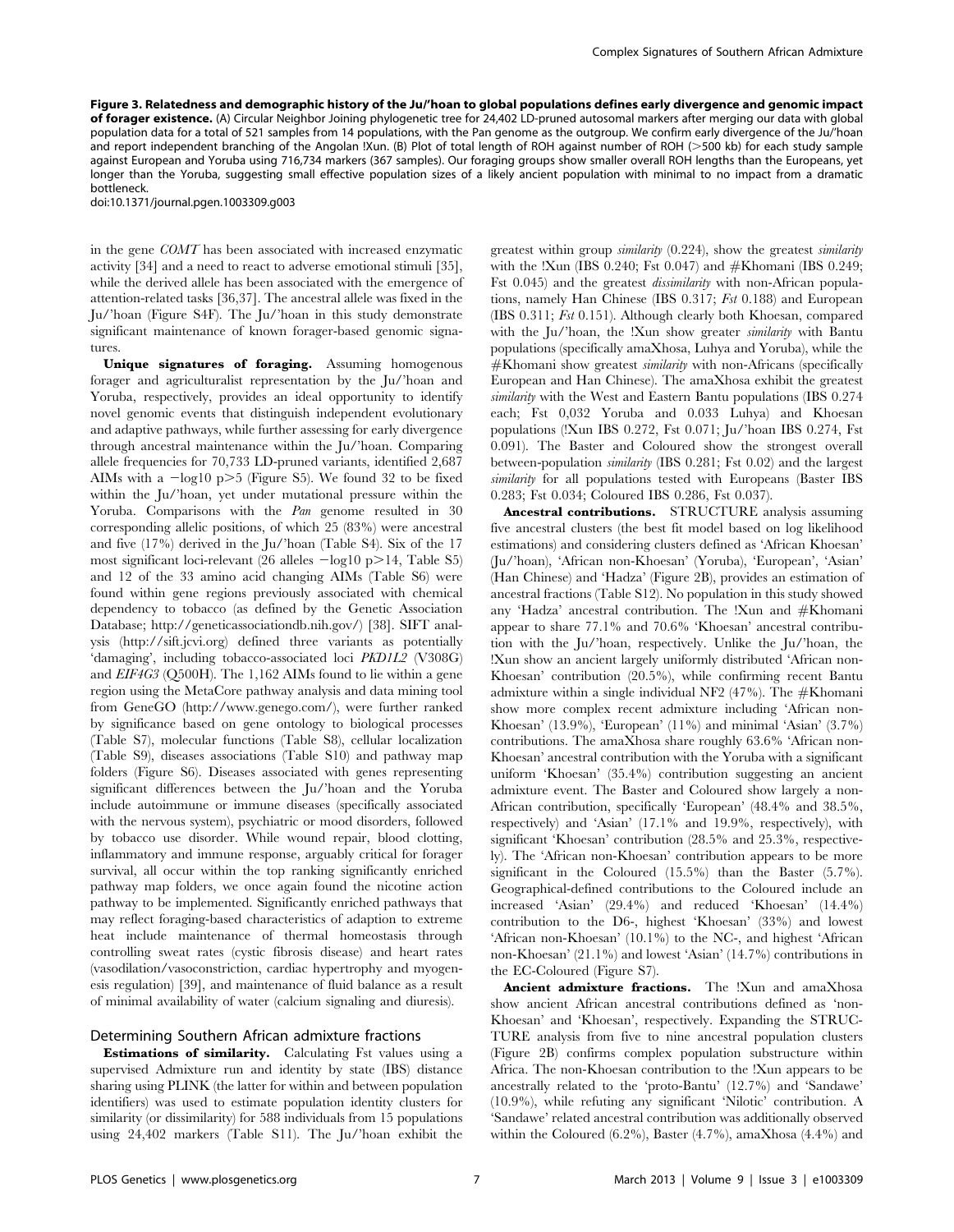Figure 3. Relatedness and demographic history of the Ju/'hoan to global populations defines early divergence and genomic impact of forager existence. (A) Circular Neighbor Joining phylogenetic tree for 24,402 LD-pruned autosomal markers after merging our data with global population data for a total of 521 samples from 14 populations, with the Pan genome as the outgroup. We confirm early divergence of the Ju/'hoan and report independent branching of the Angolan !Xun. (B) Plot of total length of ROH against number of ROH (>500 kb) for each study sample against European and Yoruba using 716,734 markers (367 samples). Our foraging groups show smaller overall ROH lengths than the Europeans, yet longer than the Yoruba, suggesting small effective population sizes of a likely ancient population with minimal to no impact from a dramatic bottleneck.

doi:10.1371/journal.pgen.1003309.g003

in the gene COMT has been associated with increased enzymatic activity [34] and a need to react to adverse emotional stimuli [35], while the derived allele has been associated with the emergence of attention-related tasks [36,37]. The ancestral allele was fixed in the Ju/'hoan (Figure S4F). The Ju/'hoan in this study demonstrate significant maintenance of known forager-based genomic signatures.

Unique signatures of foraging. Assuming homogenous forager and agriculturalist representation by the Ju/'hoan and Yoruba, respectively, provides an ideal opportunity to identify novel genomic events that distinguish independent evolutionary and adaptive pathways, while further assessing for early divergence through ancestral maintenance within the Ju/'hoan. Comparing allele frequencies for 70,733 LD-pruned variants, identified 2,687 AIMs with a  $-\log 10$  p $>5$  (Figure S5). We found 32 to be fixed within the Ju/'hoan, yet under mutational pressure within the Yoruba. Comparisons with the Pan genome resulted in 30 corresponding allelic positions, of which 25 (83%) were ancestral and five (17%) derived in the Ju/'hoan (Table S4). Six of the 17 most significant loci-relevant (26 alleles  $-\log 10$  p $>14$ , Table S5) and 12 of the 33 amino acid changing AIMs (Table S6) were found within gene regions previously associated with chemical dependency to tobacco (as defined by the Genetic Association Database; http://geneticassociationdb.nih.gov/) [38]. SIFT analysis (http://sift.jcvi.org) defined three variants as potentially 'damaging', including tobacco-associated loci *PKD1L2* (V308G) and EIF4G3 (Q500H). The 1,162 AIMs found to lie within a gene region using the MetaCore pathway analysis and data mining tool from GeneGO (http://www.genego.com/), were further ranked by significance based on gene ontology to biological processes (Table S7), molecular functions (Table S8), cellular localization (Table S9), diseases associations (Table S10) and pathway map folders (Figure S6). Diseases associated with genes representing significant differences between the Ju/'hoan and the Yoruba include autoimmune or immune diseases (specifically associated with the nervous system), psychiatric or mood disorders, followed by tobacco use disorder. While wound repair, blood clotting, inflammatory and immune response, arguably critical for forager survival, all occur within the top ranking significantly enriched pathway map folders, we once again found the nicotine action pathway to be implemented. Significantly enriched pathways that may reflect foraging-based characteristics of adaption to extreme heat include maintenance of thermal homeostasis through controlling sweat rates (cystic fibrosis disease) and heart rates (vasodilation/vasoconstriction, cardiac hypertrophy and myogenesis regulation) [39], and maintenance of fluid balance as a result of minimal availability of water (calcium signaling and diuresis).

# Determining Southern African admixture fractions

Estimations of similarity. Calculating Fst values using a supervised Admixture run and identity by state (IBS) distance sharing using PLINK (the latter for within and between population identifiers) was used to estimate population identity clusters for similarity (or dissimilarity) for 588 individuals from 15 populations using 24,402 markers (Table S11). The Ju/'hoan exhibit the

greatest within group similarity (0.224), show the greatest similarity with the !Xun (IBS 0.240; Fst 0.047) and #Khomani (IBS 0.249; Fst 0.045) and the greatest dissimilarity with non-African populations, namely Han Chinese (IBS 0.317; Fst 0.188) and European (IBS 0.311; Fst 0.151). Although clearly both Khoesan, compared with the Ju/'hoan, the !Xun show greater similarity with Bantu populations (specifically amaXhosa, Luhya and Yoruba), while the #Khomani show greatest similarity with non-Africans (specifically European and Han Chinese). The amaXhosa exhibit the greatest similarity with the West and Eastern Bantu populations (IBS 0.274 each; Fst 0,032 Yoruba and 0.033 Luhya) and Khoesan populations (!Xun IBS 0.272, Fst 0.071; Ju/'hoan IBS 0.274, Fst 0.091). The Baster and Coloured show the strongest overall between-population similarity (IBS 0.281; Fst 0.02) and the largest similarity for all populations tested with Europeans (Baster IBS 0.283; Fst 0.034; Coloured IBS 0.286, Fst 0.037).

Ancestral contributions. STRUCTURE analysis assuming five ancestral clusters (the best fit model based on log likelihood estimations) and considering clusters defined as 'African Khoesan' (Ju/'hoan), 'African non-Khoesan' (Yoruba), 'European', 'Asian' (Han Chinese) and 'Hadza' (Figure 2B), provides an estimation of ancestral fractions (Table S12). No population in this study showed any 'Hadza' ancestral contribution. The !Xun and #Khomani appear to share 77.1% and 70.6% 'Khoesan' ancestral contribution with the Ju/'hoan, respectively. Unlike the Ju/'hoan, the !Xun show an ancient largely uniformly distributed 'African non-Khoesan' contribution (20.5%), while confirming recent Bantu admixture within a single individual NF2  $(47%)$ . The  $\#$ Khomani show more complex recent admixture including 'African non-Khoesan' (13.9%), 'European' (11%) and minimal 'Asian' (3.7%) contributions. The amaXhosa share roughly 63.6% 'African non-Khoesan' ancestral contribution with the Yoruba with a significant uniform 'Khoesan' (35.4%) contribution suggesting an ancient admixture event. The Baster and Coloured show largely a non-African contribution, specifically 'European' (48.4% and 38.5%, respectively) and 'Asian' (17.1% and 19.9%, respectively), with significant 'Khoesan' contribution (28.5% and 25.3%, respectively). The 'African non-Khoesan' contribution appears to be more significant in the Coloured (15.5%) than the Baster (5.7%). Geographical-defined contributions to the Coloured include an increased 'Asian' (29.4%) and reduced 'Khoesan' (14.4%) contribution to the D6-, highest 'Khoesan' (33%) and lowest 'African non-Khoesan' (10.1%) to the NC-, and highest 'African non-Khoesan' (21.1%) and lowest 'Asian' (14.7%) contributions in the EC-Coloured (Figure S7).

Ancient admixture fractions. The !Xun and amaXhosa show ancient African ancestral contributions defined as 'non-Khoesan' and 'Khoesan', respectively. Expanding the STRUC-TURE analysis from five to nine ancestral population clusters (Figure 2B) confirms complex population substructure within Africa. The non-Khoesan contribution to the !Xun appears to be ancestrally related to the 'proto-Bantu' (12.7%) and 'Sandawe' (10.9%), while refuting any significant 'Nilotic' contribution. A 'Sandawe' related ancestral contribution was additionally observed within the Coloured (6.2%), Baster (4.7%), amaXhosa (4.4%) and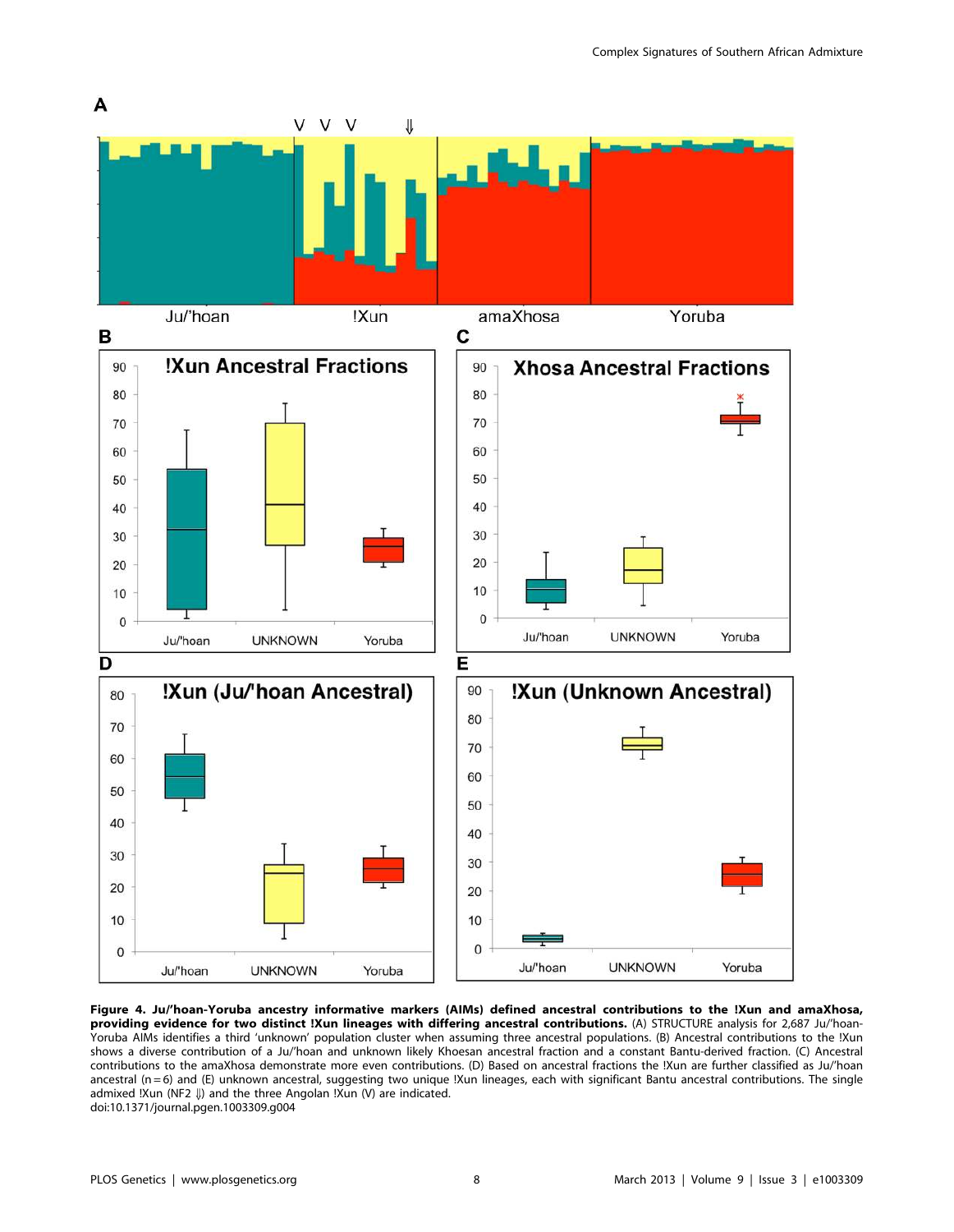

Figure 4. Ju/'hoan-Yoruba ancestry informative markers (AIMs) defined ancestral contributions to the !Xun and amaXhosa, providing evidence for two distinct !Xun lineages with differing ancestral contributions. (A) STRUCTURE analysis for 2,687 Ju/'hoan-Yoruba AIMs identifies a third 'unknown' population cluster when assuming three ancestral populations. (B) Ancestral contributions to the !Xun shows a diverse contribution of a Ju/'hoan and unknown likely Khoesan ancestral fraction and a constant Bantu-derived fraction. (C) Ancestral contributions to the amaXhosa demonstrate more even contributions. (D) Based on ancestral fractions the !Xun are further classified as Ju/'hoan ancestral  $(n = 6)$  and  $(E)$  unknown ancestral, suggesting two unique !Xun lineages, each with significant Bantu ancestral contributions. The single admixed !Xun (NF2  $\parallel$ ) and the three Angolan !Xun (V) are indicated. doi:10.1371/journal.pgen.1003309.g004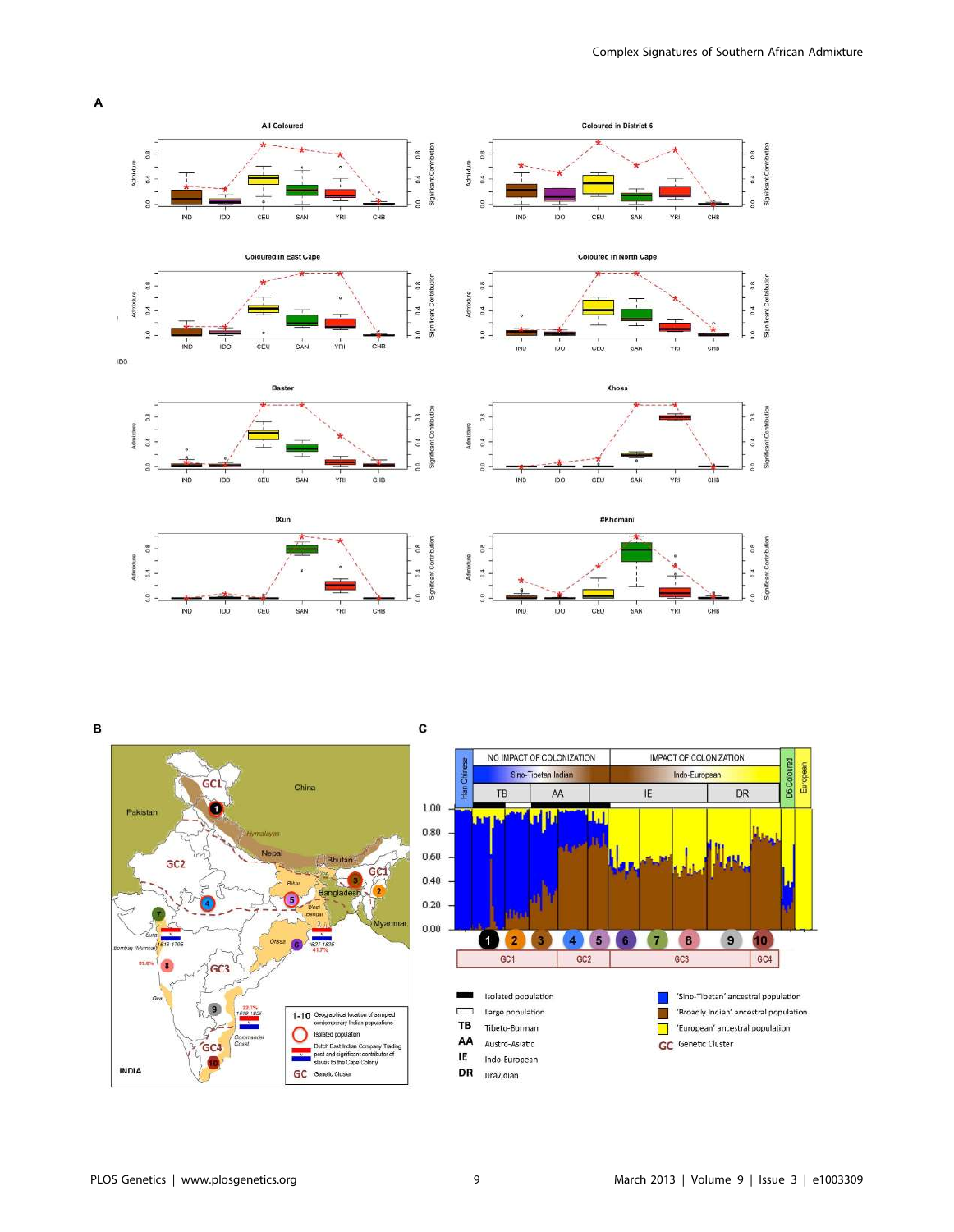

C

B



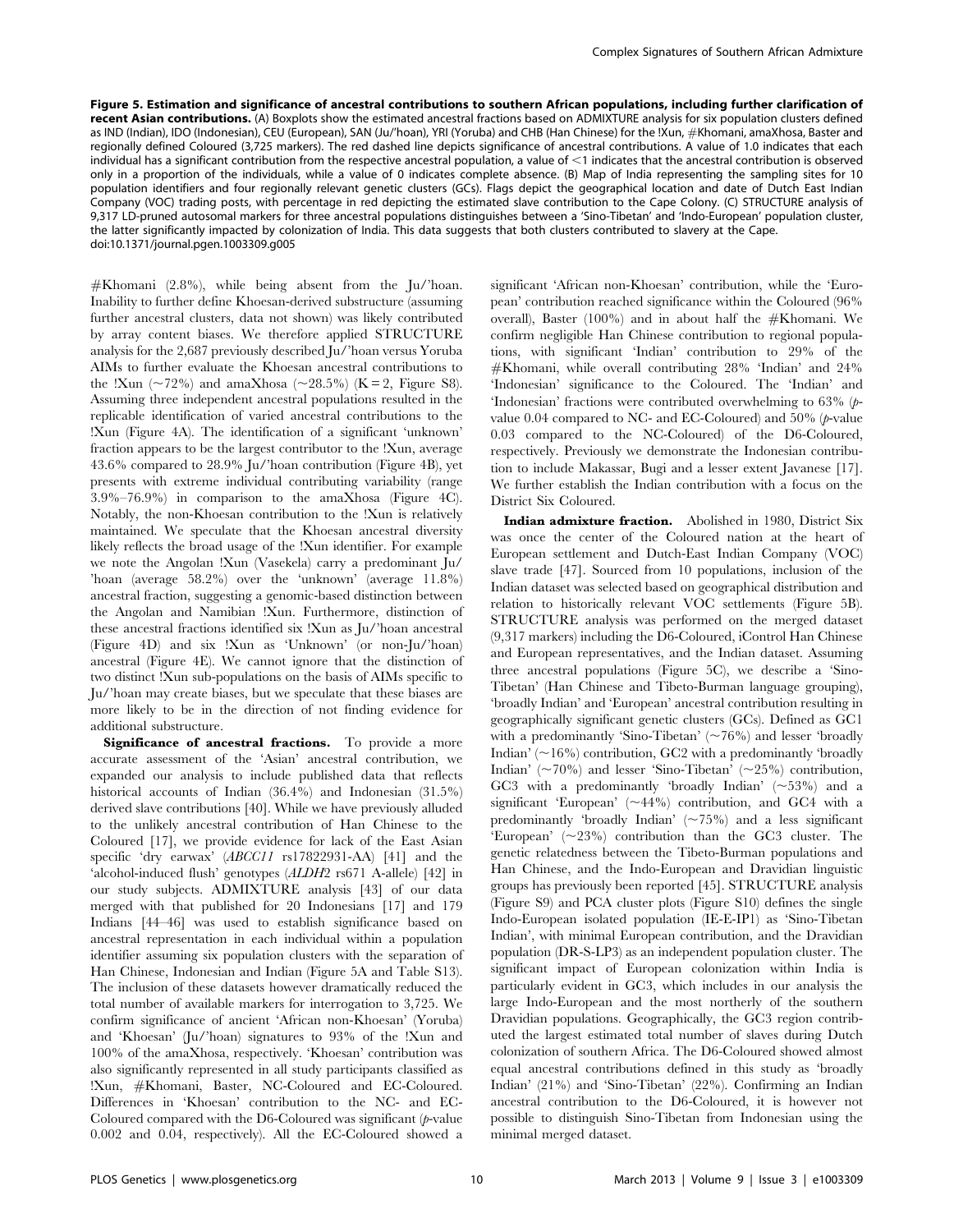Figure 5. Estimation and significance of ancestral contributions to southern African populations, including further clarification of recent Asian contributions. (A) Boxplots show the estimated ancestral fractions based on ADMIXTURE analysis for six population clusters defined as IND (Indian), IDO (Indonesian), CEU (European), SAN (Ju/'hoan), YRI (Yoruba) and CHB (Han Chinese) for the !Xun, #Khomani, amaXhosa, Baster and regionally defined Coloured (3,725 markers). The red dashed line depicts significance of ancestral contributions. A value of 1.0 indicates that each individual has a significant contribution from the respective ancestral population, a value of  $\leq 1$  indicates that the ancestral contribution is observed only in a proportion of the individuals, while a value of 0 indicates complete absence. (B) Map of India representing the sampling sites for 10 population identifiers and four regionally relevant genetic clusters (GCs). Flags depict the geographical location and date of Dutch East Indian Company (VOC) trading posts, with percentage in red depicting the estimated slave contribution to the Cape Colony. (C) STRUCTURE analysis of 9,317 LD-pruned autosomal markers for three ancestral populations distinguishes between a 'Sino-Tibetan' and 'Indo-European' population cluster, the latter significantly impacted by colonization of India. This data suggests that both clusters contributed to slavery at the Cape. doi:10.1371/journal.pgen.1003309.g005

#Khomani (2.8%), while being absent from the Ju/'hoan. Inability to further define Khoesan-derived substructure (assuming further ancestral clusters, data not shown) was likely contributed by array content biases. We therefore applied STRUCTURE analysis for the 2,687 previously described Ju/'hoan versus Yoruba AIMs to further evaluate the Khoesan ancestral contributions to the !Xun  $(\sim 72\%)$  and amaXhosa  $(\sim 28.5\%)$  (K = 2, Figure S8). Assuming three independent ancestral populations resulted in the replicable identification of varied ancestral contributions to the !Xun (Figure 4A). The identification of a significant 'unknown' fraction appears to be the largest contributor to the !Xun, average 43.6% compared to 28.9% Ju/'hoan contribution (Figure 4B), yet presents with extreme individual contributing variability (range 3.9%–76.9%) in comparison to the amaXhosa (Figure 4C). Notably, the non-Khoesan contribution to the !Xun is relatively maintained. We speculate that the Khoesan ancestral diversity likely reflects the broad usage of the !Xun identifier. For example we note the Angolan !Xun (Vasekela) carry a predominant Ju/ 'hoan (average 58.2%) over the 'unknown' (average 11.8%) ancestral fraction, suggesting a genomic-based distinction between the Angolan and Namibian !Xun. Furthermore, distinction of these ancestral fractions identified six !Xun as Ju/'hoan ancestral (Figure 4D) and six !Xun as 'Unknown' (or non-Ju/'hoan) ancestral (Figure 4E). We cannot ignore that the distinction of two distinct !Xun sub-populations on the basis of AIMs specific to Ju/'hoan may create biases, but we speculate that these biases are more likely to be in the direction of not finding evidence for additional substructure.

Significance of ancestral fractions. To provide a more accurate assessment of the 'Asian' ancestral contribution, we expanded our analysis to include published data that reflects historical accounts of Indian (36.4%) and Indonesian (31.5%) derived slave contributions [40]. While we have previously alluded to the unlikely ancestral contribution of Han Chinese to the Coloured [17], we provide evidence for lack of the East Asian specific 'dry earwax' (ABCC11 rs17822931-AA) [41] and the 'alcohol-induced flush' genotypes (ALDH2 rs671 A-allele) [42] in our study subjects. ADMIXTURE analysis [43] of our data merged with that published for 20 Indonesians [17] and 179 Indians [44–46] was used to establish significance based on ancestral representation in each individual within a population identifier assuming six population clusters with the separation of Han Chinese, Indonesian and Indian (Figure 5A and Table S13). The inclusion of these datasets however dramatically reduced the total number of available markers for interrogation to 3,725. We confirm significance of ancient 'African non-Khoesan' (Yoruba) and 'Khoesan' (Ju/'hoan) signatures to 93% of the !Xun and 100% of the amaXhosa, respectively. 'Khoesan' contribution was also significantly represented in all study participants classified as !Xun, #Khomani, Baster, NC-Coloured and EC-Coloured. Differences in 'Khoesan' contribution to the NC- and EC-Coloured compared with the D6-Coloured was significant  $(p$ -value 0.002 and 0.04, respectively). All the EC-Coloured showed a significant 'African non-Khoesan' contribution, while the 'European' contribution reached significance within the Coloured (96% overall), Baster (100%) and in about half the  $#$ Khomani. We confirm negligible Han Chinese contribution to regional populations, with significant 'Indian' contribution to 29% of the #Khomani, while overall contributing 28% 'Indian' and 24% 'Indonesian' significance to the Coloured. The 'Indian' and 'Indonesian' fractions were contributed overwhelming to 63% (pvalue 0.04 compared to NC- and EC-Coloured) and 50% (p-value 0.03 compared to the NC-Coloured) of the D6-Coloured, respectively. Previously we demonstrate the Indonesian contribution to include Makassar, Bugi and a lesser extent Javanese [17]. We further establish the Indian contribution with a focus on the District Six Coloured.

Indian admixture fraction. Abolished in 1980, District Six was once the center of the Coloured nation at the heart of European settlement and Dutch-East Indian Company (VOC) slave trade [47]. Sourced from 10 populations, inclusion of the Indian dataset was selected based on geographical distribution and relation to historically relevant VOC settlements (Figure 5B). STRUCTURE analysis was performed on the merged dataset (9,317 markers) including the D6-Coloured, iControl Han Chinese and European representatives, and the Indian dataset. Assuming three ancestral populations (Figure 5C), we describe a 'Sino-Tibetan' (Han Chinese and Tibeto-Burman language grouping), 'broadly Indian' and 'European' ancestral contribution resulting in geographically significant genetic clusters (GCs). Defined as GC1 with a predominantly 'Sino-Tibetan'  $(\sim 76\%)$  and lesser 'broadly Indian' ( $\sim$ 16%) contribution, GC2 with a predominantly 'broadly Indian' ( $\sim$ 70%) and lesser 'Sino-Tibetan' ( $\sim$ 25%) contribution, GC3 with a predominantly 'broadly Indian'  $(\sim 53\%)$  and a significant 'European'  $(\sim 44\%)$  contribution, and GC4 with a predominantly 'broadly Indian'  $(\sim 75\%)$  and a less significant 'European'  $(\sim 23\%)$  contribution than the GC3 cluster. The genetic relatedness between the Tibeto-Burman populations and Han Chinese, and the Indo-European and Dravidian linguistic groups has previously been reported [45]. STRUCTURE analysis (Figure S9) and PCA cluster plots (Figure S10) defines the single Indo-European isolated population (IE-E-IP1) as 'Sino-Tibetan Indian', with minimal European contribution, and the Dravidian population (DR-S-LP3) as an independent population cluster. The significant impact of European colonization within India is particularly evident in GC3, which includes in our analysis the large Indo-European and the most northerly of the southern Dravidian populations. Geographically, the GC3 region contributed the largest estimated total number of slaves during Dutch colonization of southern Africa. The D6-Coloured showed almost equal ancestral contributions defined in this study as 'broadly Indian' (21%) and 'Sino-Tibetan' (22%). Confirming an Indian ancestral contribution to the D6-Coloured, it is however not possible to distinguish Sino-Tibetan from Indonesian using the minimal merged dataset.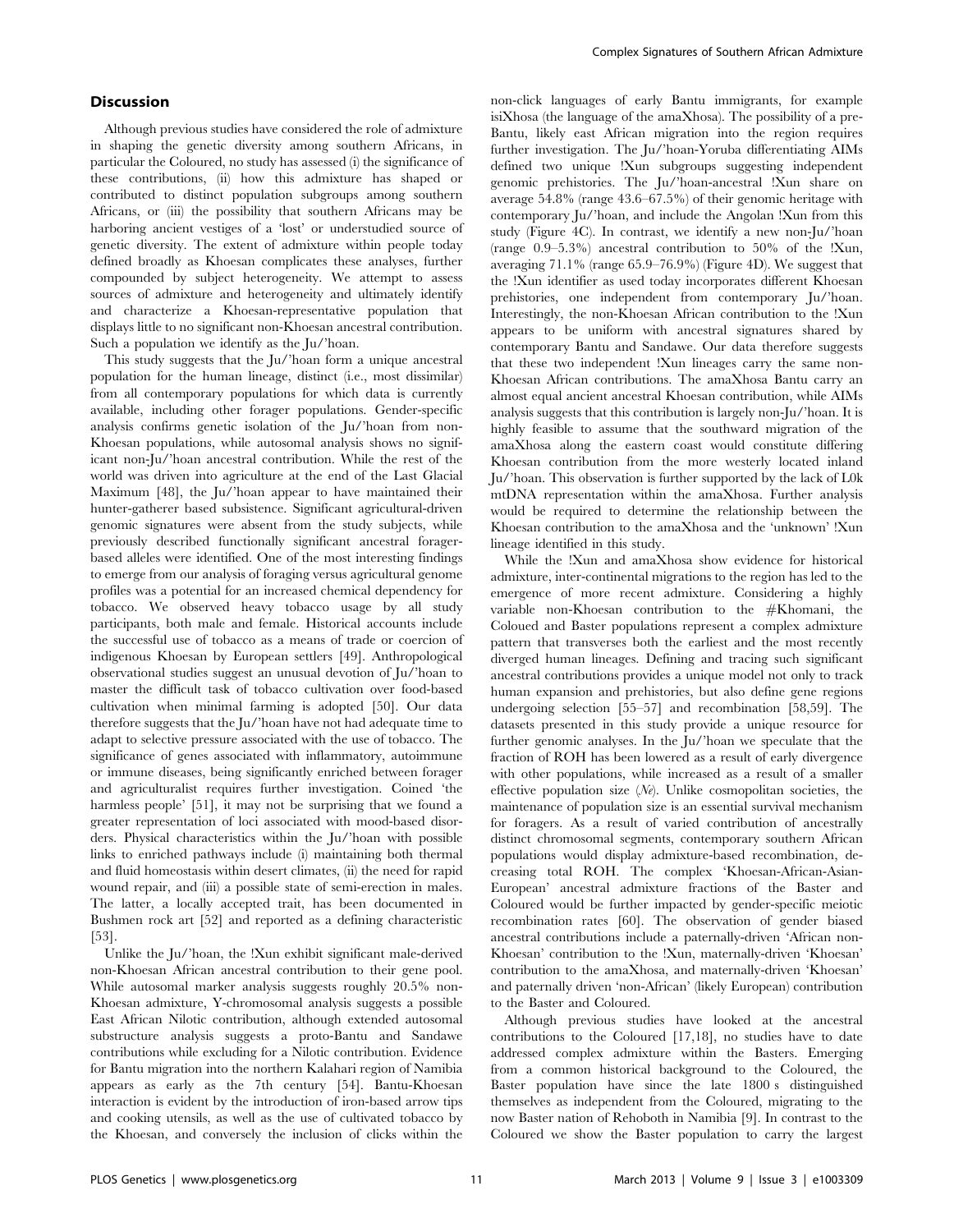# **Discussion**

Although previous studies have considered the role of admixture in shaping the genetic diversity among southern Africans, in particular the Coloured, no study has assessed (i) the significance of these contributions, (ii) how this admixture has shaped or contributed to distinct population subgroups among southern Africans, or (iii) the possibility that southern Africans may be harboring ancient vestiges of a 'lost' or understudied source of genetic diversity. The extent of admixture within people today defined broadly as Khoesan complicates these analyses, further compounded by subject heterogeneity. We attempt to assess sources of admixture and heterogeneity and ultimately identify and characterize a Khoesan-representative population that displays little to no significant non-Khoesan ancestral contribution. Such a population we identify as the Ju/'hoan.

This study suggests that the Ju/'hoan form a unique ancestral population for the human lineage, distinct (i.e., most dissimilar) from all contemporary populations for which data is currently available, including other forager populations. Gender-specific analysis confirms genetic isolation of the Ju/'hoan from non-Khoesan populations, while autosomal analysis shows no significant non-Ju/'hoan ancestral contribution. While the rest of the world was driven into agriculture at the end of the Last Glacial Maximum [48], the Ju/'hoan appear to have maintained their hunter-gatherer based subsistence. Significant agricultural-driven genomic signatures were absent from the study subjects, while previously described functionally significant ancestral foragerbased alleles were identified. One of the most interesting findings to emerge from our analysis of foraging versus agricultural genome profiles was a potential for an increased chemical dependency for tobacco. We observed heavy tobacco usage by all study participants, both male and female. Historical accounts include the successful use of tobacco as a means of trade or coercion of indigenous Khoesan by European settlers [49]. Anthropological observational studies suggest an unusual devotion of Ju/'hoan to master the difficult task of tobacco cultivation over food-based cultivation when minimal farming is adopted [50]. Our data therefore suggests that the Ju/'hoan have not had adequate time to adapt to selective pressure associated with the use of tobacco. The significance of genes associated with inflammatory, autoimmune or immune diseases, being significantly enriched between forager and agriculturalist requires further investigation. Coined 'the harmless people' [51], it may not be surprising that we found a greater representation of loci associated with mood-based disorders. Physical characteristics within the Ju/'hoan with possible links to enriched pathways include (i) maintaining both thermal and fluid homeostasis within desert climates, (ii) the need for rapid wound repair, and (iii) a possible state of semi-erection in males. The latter, a locally accepted trait, has been documented in Bushmen rock art [52] and reported as a defining characteristic [53].

Unlike the Ju/'hoan, the !Xun exhibit significant male-derived non-Khoesan African ancestral contribution to their gene pool. While autosomal marker analysis suggests roughly 20.5% non-Khoesan admixture, Y-chromosomal analysis suggests a possible East African Nilotic contribution, although extended autosomal substructure analysis suggests a proto-Bantu and Sandawe contributions while excluding for a Nilotic contribution. Evidence for Bantu migration into the northern Kalahari region of Namibia appears as early as the 7th century [54]. Bantu-Khoesan interaction is evident by the introduction of iron-based arrow tips and cooking utensils, as well as the use of cultivated tobacco by the Khoesan, and conversely the inclusion of clicks within the

non-click languages of early Bantu immigrants, for example isiXhosa (the language of the amaXhosa). The possibility of a pre-Bantu, likely east African migration into the region requires further investigation. The Ju/'hoan-Yoruba differentiating AIMs defined two unique !Xun subgroups suggesting independent genomic prehistories. The Ju/'hoan-ancestral !Xun share on average 54.8% (range 43.6–67.5%) of their genomic heritage with contemporary Ju/'hoan, and include the Angolan !Xun from this study (Figure 4C). In contrast, we identify a new non-Ju/'hoan (range 0.9–5.3%) ancestral contribution to 50% of the !Xun, averaging 71.1% (range 65.9–76.9%) (Figure 4D). We suggest that the !Xun identifier as used today incorporates different Khoesan prehistories, one independent from contemporary Ju/'hoan. Interestingly, the non-Khoesan African contribution to the !Xun appears to be uniform with ancestral signatures shared by contemporary Bantu and Sandawe. Our data therefore suggests that these two independent !Xun lineages carry the same non-Khoesan African contributions. The amaXhosa Bantu carry an almost equal ancient ancestral Khoesan contribution, while AIMs analysis suggests that this contribution is largely non-Ju/'hoan. It is highly feasible to assume that the southward migration of the amaXhosa along the eastern coast would constitute differing Khoesan contribution from the more westerly located inland Ju/'hoan. This observation is further supported by the lack of L0k mtDNA representation within the amaXhosa. Further analysis would be required to determine the relationship between the Khoesan contribution to the amaXhosa and the 'unknown' !Xun lineage identified in this study.

While the !Xun and amaXhosa show evidence for historical admixture, inter-continental migrations to the region has led to the emergence of more recent admixture. Considering a highly variable non-Khoesan contribution to the #Khomani, the Coloued and Baster populations represent a complex admixture pattern that transverses both the earliest and the most recently diverged human lineages. Defining and tracing such significant ancestral contributions provides a unique model not only to track human expansion and prehistories, but also define gene regions undergoing selection [55–57] and recombination [58,59]. The datasets presented in this study provide a unique resource for further genomic analyses. In the Ju/'hoan we speculate that the fraction of ROH has been lowered as a result of early divergence with other populations, while increased as a result of a smaller effective population size  $(N_e)$ . Unlike cosmopolitan societies, the maintenance of population size is an essential survival mechanism for foragers. As a result of varied contribution of ancestrally distinct chromosomal segments, contemporary southern African populations would display admixture-based recombination, decreasing total ROH. The complex 'Khoesan-African-Asian-European' ancestral admixture fractions of the Baster and Coloured would be further impacted by gender-specific meiotic recombination rates [60]. The observation of gender biased ancestral contributions include a paternally-driven 'African non-Khoesan' contribution to the !Xun, maternally-driven 'Khoesan' contribution to the amaXhosa, and maternally-driven 'Khoesan' and paternally driven 'non-African' (likely European) contribution to the Baster and Coloured.

Although previous studies have looked at the ancestral contributions to the Coloured [17,18], no studies have to date addressed complex admixture within the Basters. Emerging from a common historical background to the Coloured, the Baster population have since the late 1800 s distinguished themselves as independent from the Coloured, migrating to the now Baster nation of Rehoboth in Namibia [9]. In contrast to the Coloured we show the Baster population to carry the largest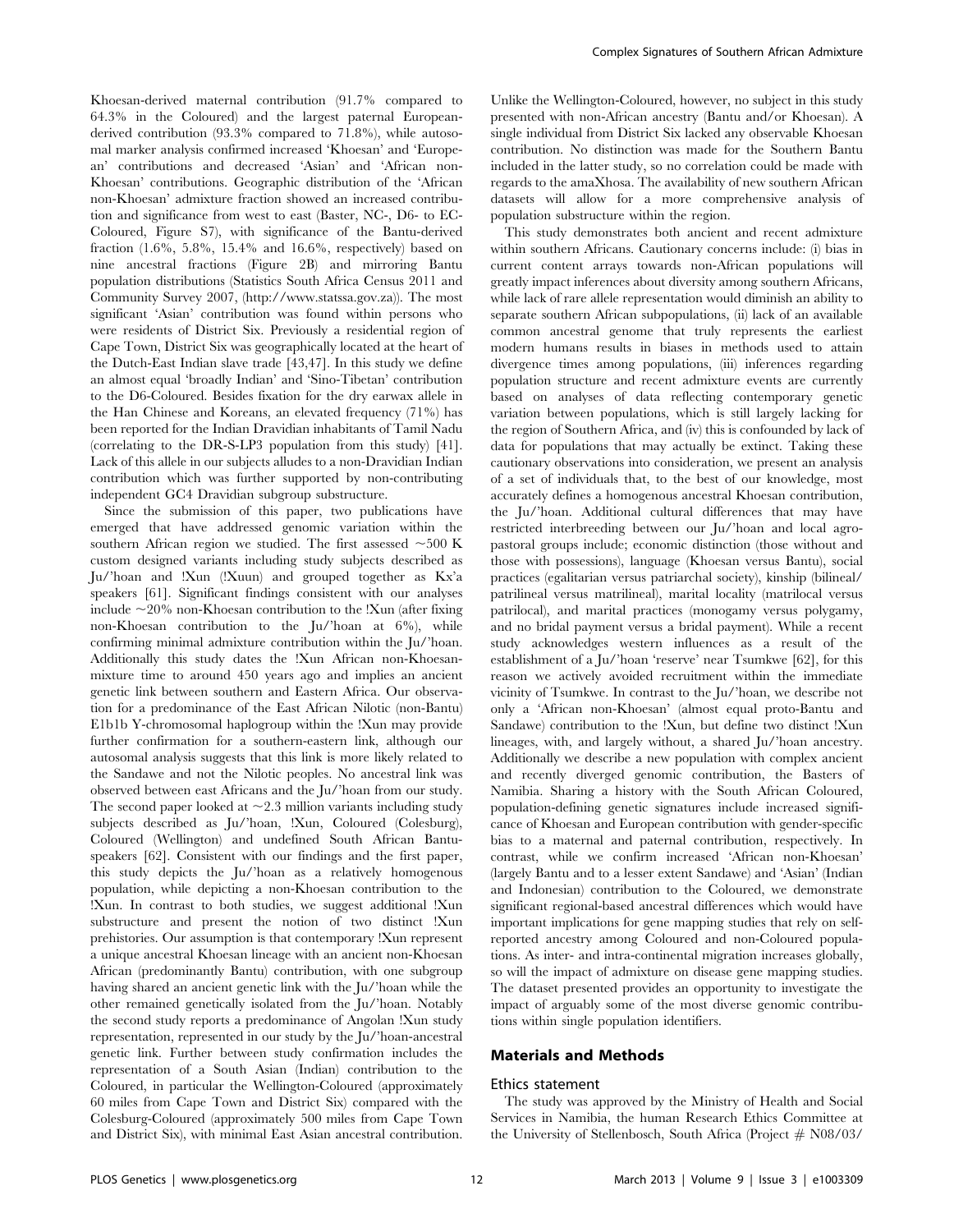Khoesan-derived maternal contribution (91.7% compared to 64.3% in the Coloured) and the largest paternal Europeanderived contribution (93.3% compared to 71.8%), while autosomal marker analysis confirmed increased 'Khoesan' and 'European' contributions and decreased 'Asian' and 'African non-Khoesan' contributions. Geographic distribution of the 'African non-Khoesan' admixture fraction showed an increased contribution and significance from west to east (Baster, NC-, D6- to EC-Coloured, Figure S7), with significance of the Bantu-derived fraction  $(1.6\%, 5.8\%, 15.4\%$  and  $16.6\%,$  respectively) based on nine ancestral fractions (Figure 2B) and mirroring Bantu population distributions (Statistics South Africa Census 2011 and Community Survey 2007, (http://www.statssa.gov.za)). The most significant 'Asian' contribution was found within persons who were residents of District Six. Previously a residential region of Cape Town, District Six was geographically located at the heart of the Dutch-East Indian slave trade [43,47]. In this study we define an almost equal 'broadly Indian' and 'Sino-Tibetan' contribution to the D6-Coloured. Besides fixation for the dry earwax allele in the Han Chinese and Koreans, an elevated frequency (71%) has been reported for the Indian Dravidian inhabitants of Tamil Nadu (correlating to the DR-S-LP3 population from this study) [41]. Lack of this allele in our subjects alludes to a non-Dravidian Indian contribution which was further supported by non-contributing independent GC4 Dravidian subgroup substructure.

Since the submission of this paper, two publications have emerged that have addressed genomic variation within the southern African region we studied. The first assessed  $\sim$  500 K custom designed variants including study subjects described as Ju/'hoan and !Xun (!Xuun) and grouped together as Kx'a speakers [61]. Significant findings consistent with our analyses include  $\sim$ 20% non-Khoesan contribution to the !Xun (after fixing non-Khoesan contribution to the Ju/'hoan at 6%), while confirming minimal admixture contribution within the Ju/'hoan. Additionally this study dates the !Xun African non-Khoesanmixture time to around 450 years ago and implies an ancient genetic link between southern and Eastern Africa. Our observation for a predominance of the East African Nilotic (non-Bantu) E1b1b Y-chromosomal haplogroup within the !Xun may provide further confirmation for a southern-eastern link, although our autosomal analysis suggests that this link is more likely related to the Sandawe and not the Nilotic peoples. No ancestral link was observed between east Africans and the Ju/'hoan from our study. The second paper looked at  $\sim$  2.3 million variants including study subjects described as Ju/'hoan, !Xun, Coloured (Colesburg), Coloured (Wellington) and undefined South African Bantuspeakers [62]. Consistent with our findings and the first paper, this study depicts the Ju/'hoan as a relatively homogenous population, while depicting a non-Khoesan contribution to the !Xun. In contrast to both studies, we suggest additional !Xun substructure and present the notion of two distinct !Xun prehistories. Our assumption is that contemporary !Xun represent a unique ancestral Khoesan lineage with an ancient non-Khoesan African (predominantly Bantu) contribution, with one subgroup having shared an ancient genetic link with the Ju/'hoan while the other remained genetically isolated from the Ju/'hoan. Notably the second study reports a predominance of Angolan !Xun study representation, represented in our study by the Ju/'hoan-ancestral genetic link. Further between study confirmation includes the representation of a South Asian (Indian) contribution to the Coloured, in particular the Wellington-Coloured (approximately 60 miles from Cape Town and District Six) compared with the Colesburg-Coloured (approximately 500 miles from Cape Town and District Six), with minimal East Asian ancestral contribution.

Unlike the Wellington-Coloured, however, no subject in this study presented with non-African ancestry (Bantu and/or Khoesan). A single individual from District Six lacked any observable Khoesan contribution. No distinction was made for the Southern Bantu included in the latter study, so no correlation could be made with regards to the amaXhosa. The availability of new southern African datasets will allow for a more comprehensive analysis of population substructure within the region.

This study demonstrates both ancient and recent admixture within southern Africans. Cautionary concerns include: (i) bias in current content arrays towards non-African populations will greatly impact inferences about diversity among southern Africans, while lack of rare allele representation would diminish an ability to separate southern African subpopulations, (ii) lack of an available common ancestral genome that truly represents the earliest modern humans results in biases in methods used to attain divergence times among populations, (iii) inferences regarding population structure and recent admixture events are currently based on analyses of data reflecting contemporary genetic variation between populations, which is still largely lacking for the region of Southern Africa, and (iv) this is confounded by lack of data for populations that may actually be extinct. Taking these cautionary observations into consideration, we present an analysis of a set of individuals that, to the best of our knowledge, most accurately defines a homogenous ancestral Khoesan contribution, the Ju/'hoan. Additional cultural differences that may have restricted interbreeding between our Ju/'hoan and local agropastoral groups include; economic distinction (those without and those with possessions), language (Khoesan versus Bantu), social practices (egalitarian versus patriarchal society), kinship (bilineal/ patrilineal versus matrilineal), marital locality (matrilocal versus patrilocal), and marital practices (monogamy versus polygamy, and no bridal payment versus a bridal payment). While a recent study acknowledges western influences as a result of the establishment of a Ju/'hoan 'reserve' near Tsumkwe [62], for this reason we actively avoided recruitment within the immediate vicinity of Tsumkwe. In contrast to the Ju/'hoan, we describe not only a 'African non-Khoesan' (almost equal proto-Bantu and Sandawe) contribution to the !Xun, but define two distinct !Xun lineages, with, and largely without, a shared Ju/'hoan ancestry. Additionally we describe a new population with complex ancient and recently diverged genomic contribution, the Basters of Namibia. Sharing a history with the South African Coloured, population-defining genetic signatures include increased significance of Khoesan and European contribution with gender-specific bias to a maternal and paternal contribution, respectively. In contrast, while we confirm increased 'African non-Khoesan' (largely Bantu and to a lesser extent Sandawe) and 'Asian' (Indian and Indonesian) contribution to the Coloured, we demonstrate significant regional-based ancestral differences which would have important implications for gene mapping studies that rely on selfreported ancestry among Coloured and non-Coloured populations. As inter- and intra-continental migration increases globally, so will the impact of admixture on disease gene mapping studies. The dataset presented provides an opportunity to investigate the impact of arguably some of the most diverse genomic contributions within single population identifiers.

# Materials and Methods

#### Ethics statement

The study was approved by the Ministry of Health and Social Services in Namibia, the human Research Ethics Committee at the University of Stellenbosch, South Africa (Project # N08/03/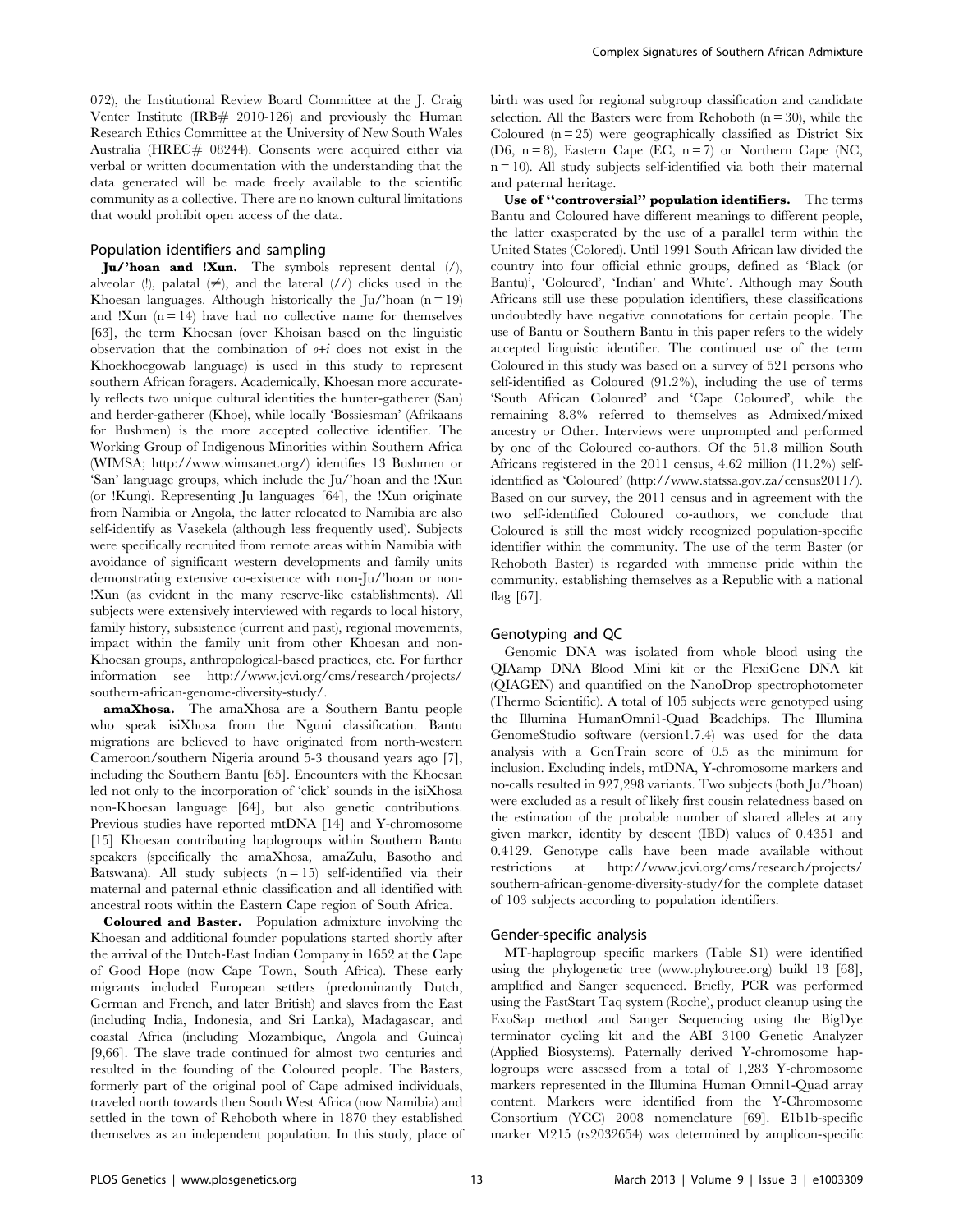072), the Institutional Review Board Committee at the J. Craig Venter Institute (IRB# 2010-126) and previously the Human Research Ethics Committee at the University of New South Wales Australia (HREC# 08244). Consents were acquired either via verbal or written documentation with the understanding that the data generated will be made freely available to the scientific community as a collective. There are no known cultural limitations that would prohibit open access of the data.

## Population identifiers and sampling

**Ju/'hoan and !Xun.** The symbols represent dental  $\langle \cdot \rangle$ , alveolar (!), palatal  $(\neq)$ , and the lateral  $(\frac{1}{\sqrt{2}})$  clicks used in the Khoesan languages. Although historically the Ju/'hoan  $(n = 19)$ and !Xun  $(n = 14)$  have had no collective name for themselves [63], the term Khoesan (over Khoisan based on the linguistic observation that the combination of  $o+i$  does not exist in the Khoekhoegowab language) is used in this study to represent southern African foragers. Academically, Khoesan more accurately reflects two unique cultural identities the hunter-gatherer (San) and herder-gatherer (Khoe), while locally 'Bossiesman' (Afrikaans for Bushmen) is the more accepted collective identifier. The Working Group of Indigenous Minorities within Southern Africa (WIMSA; http://www.wimsanet.org/) identifies 13 Bushmen or 'San' language groups, which include the Ju/'hoan and the !Xun (or !Kung). Representing Ju languages [64], the !Xun originate from Namibia or Angola, the latter relocated to Namibia are also self-identify as Vasekela (although less frequently used). Subjects were specifically recruited from remote areas within Namibia with avoidance of significant western developments and family units demonstrating extensive co-existence with non-Ju/'hoan or non- !Xun (as evident in the many reserve-like establishments). All subjects were extensively interviewed with regards to local history, family history, subsistence (current and past), regional movements, impact within the family unit from other Khoesan and non-Khoesan groups, anthropological-based practices, etc. For further information see http://www.jcvi.org/cms/research/projects/ southern-african-genome-diversity-study/.

amaXhosa. The amaXhosa are a Southern Bantu people who speak isiXhosa from the Nguni classification. Bantu migrations are believed to have originated from north-western Cameroon/southern Nigeria around 5-3 thousand years ago [7], including the Southern Bantu [65]. Encounters with the Khoesan led not only to the incorporation of 'click' sounds in the isiXhosa non-Khoesan language [64], but also genetic contributions. Previous studies have reported mtDNA [14] and Y-chromosome [15] Khoesan contributing haplogroups within Southern Bantu speakers (specifically the amaXhosa, amaZulu, Basotho and Batswana). All study subjects  $(n = 15)$  self-identified via their maternal and paternal ethnic classification and all identified with ancestral roots within the Eastern Cape region of South Africa.

Coloured and Baster. Population admixture involving the Khoesan and additional founder populations started shortly after the arrival of the Dutch-East Indian Company in 1652 at the Cape of Good Hope (now Cape Town, South Africa). These early migrants included European settlers (predominantly Dutch, German and French, and later British) and slaves from the East (including India, Indonesia, and Sri Lanka), Madagascar, and coastal Africa (including Mozambique, Angola and Guinea) [9,66]. The slave trade continued for almost two centuries and resulted in the founding of the Coloured people. The Basters, formerly part of the original pool of Cape admixed individuals, traveled north towards then South West Africa (now Namibia) and settled in the town of Rehoboth where in 1870 they established themselves as an independent population. In this study, place of birth was used for regional subgroup classification and candidate selection. All the Basters were from Rehoboth  $(n = 30)$ , while the Coloured  $(n = 25)$  were geographically classified as District Six (D6,  $n = 8$ ), Eastern Cape (EC,  $n = 7$ ) or Northern Cape (NC,  $n = 10$ ). All study subjects self-identified via both their maternal and paternal heritage.

Use of "controversial" population identifiers. The terms Bantu and Coloured have different meanings to different people, the latter exasperated by the use of a parallel term within the United States (Colored). Until 1991 South African law divided the country into four official ethnic groups, defined as 'Black (or Bantu)', 'Coloured', 'Indian' and White'. Although may South Africans still use these population identifiers, these classifications undoubtedly have negative connotations for certain people. The use of Bantu or Southern Bantu in this paper refers to the widely accepted linguistic identifier. The continued use of the term Coloured in this study was based on a survey of 521 persons who self-identified as Coloured (91.2%), including the use of terms 'South African Coloured' and 'Cape Coloured', while the remaining 8.8% referred to themselves as Admixed/mixed ancestry or Other. Interviews were unprompted and performed by one of the Coloured co-authors. Of the 51.8 million South Africans registered in the 2011 census, 4.62 million (11.2%) selfidentified as 'Coloured' (http://www.statssa.gov.za/census2011/). Based on our survey, the 2011 census and in agreement with the two self-identified Coloured co-authors, we conclude that Coloured is still the most widely recognized population-specific identifier within the community. The use of the term Baster (or Rehoboth Baster) is regarded with immense pride within the community, establishing themselves as a Republic with a national flag [67].

## Genotyping and QC

Genomic DNA was isolated from whole blood using the QIAamp DNA Blood Mini kit or the FlexiGene DNA kit (QIAGEN) and quantified on the NanoDrop spectrophotometer (Thermo Scientific). A total of 105 subjects were genotyped using the Illumina HumanOmni1-Quad Beadchips. The Illumina GenomeStudio software (version1.7.4) was used for the data analysis with a GenTrain score of 0.5 as the minimum for inclusion. Excluding indels, mtDNA, Y-chromosome markers and no-calls resulted in 927,298 variants. Two subjects (both Ju/'hoan) were excluded as a result of likely first cousin relatedness based on the estimation of the probable number of shared alleles at any given marker, identity by descent (IBD) values of 0.4351 and 0.4129. Genotype calls have been made available without restrictions at http://www.jcvi.org/cms/research/projects/ southern-african-genome-diversity-study/for the complete dataset of 103 subjects according to population identifiers.

### Gender-specific analysis

MT-haplogroup specific markers (Table S1) were identified using the phylogenetic tree (www.phylotree.org) build 13 [68], amplified and Sanger sequenced. Briefly, PCR was performed using the FastStart Taq system (Roche), product cleanup using the ExoSap method and Sanger Sequencing using the BigDye terminator cycling kit and the ABI 3100 Genetic Analyzer (Applied Biosystems). Paternally derived Y-chromosome haplogroups were assessed from a total of 1,283 Y-chromosome markers represented in the Illumina Human Omni1-Quad array content. Markers were identified from the Y-Chromosome Consortium (YCC) 2008 nomenclature [69]. E1b1b-specific marker M215 (rs2032654) was determined by amplicon-specific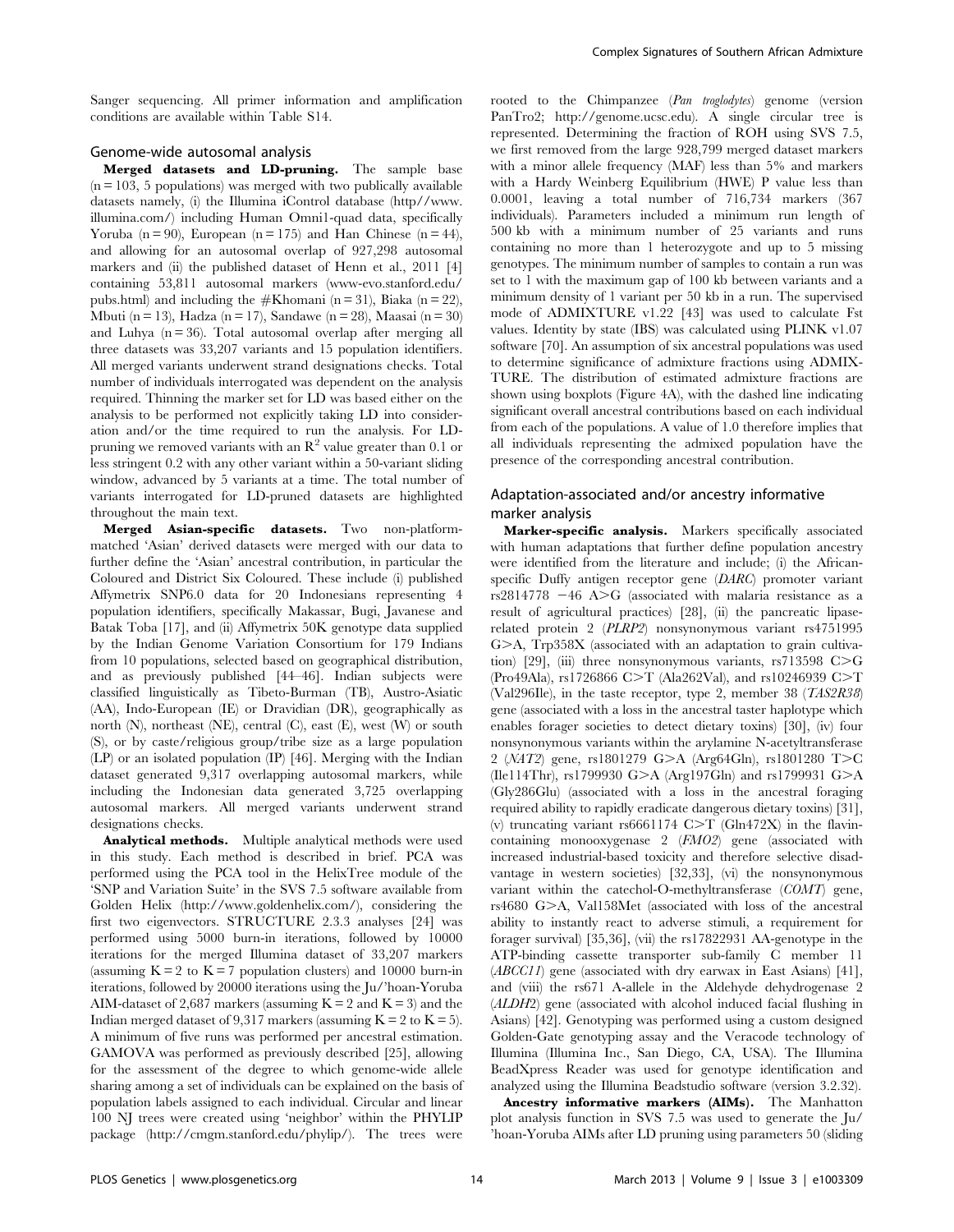Sanger sequencing. All primer information and amplification conditions are available within Table S14.

# Genome-wide autosomal analysis

Merged datasets and LD-pruning. The sample base  $(n = 103, 5$  populations) was merged with two publically available datasets namely, (i) the Illumina iControl database (http//www. illumina.com/) including Human Omni1-quad data, specifically Yoruba ( $n = 90$ ), European ( $n = 175$ ) and Han Chinese ( $n = 44$ ), and allowing for an autosomal overlap of 927,298 autosomal markers and (ii) the published dataset of Henn et al., 2011 [4] containing 53,811 autosomal markers (www-evo.stanford.edu/ pubs.html) and including the #Khomani  $(n = 31)$ , Biaka  $(n = 22)$ , Mbuti (n = 13), Hadza (n = 17), Sandawe (n = 28), Maasai (n = 30) and Luhya  $(n = 36)$ . Total autosomal overlap after merging all three datasets was 33,207 variants and 15 population identifiers. All merged variants underwent strand designations checks. Total number of individuals interrogated was dependent on the analysis required. Thinning the marker set for LD was based either on the analysis to be performed not explicitly taking LD into consideration and/or the time required to run the analysis. For LDpruning we removed variants with an  $\mathbb{R}^2$  value greater than 0.1 or less stringent 0.2 with any other variant within a 50-variant sliding window, advanced by 5 variants at a time. The total number of variants interrogated for LD-pruned datasets are highlighted throughout the main text.

Merged Asian-specific datasets. Two non-platformmatched 'Asian' derived datasets were merged with our data to further define the 'Asian' ancestral contribution, in particular the Coloured and District Six Coloured. These include (i) published Affymetrix SNP6.0 data for 20 Indonesians representing 4 population identifiers, specifically Makassar, Bugi, Javanese and Batak Toba [17], and (ii) Affymetrix 50K genotype data supplied by the Indian Genome Variation Consortium for 179 Indians from 10 populations, selected based on geographical distribution, and as previously published [44–46]. Indian subjects were classified linguistically as Tibeto-Burman (TB), Austro-Asiatic (AA), Indo-European (IE) or Dravidian (DR), geographically as north  $(N)$ , northeast  $(NE)$ , central  $(C)$ , east  $(E)$ , west  $(W)$  or south (S), or by caste/religious group/tribe size as a large population (LP) or an isolated population (IP) [46]. Merging with the Indian dataset generated 9,317 overlapping autosomal markers, while including the Indonesian data generated 3,725 overlapping autosomal markers. All merged variants underwent strand designations checks.

Analytical methods. Multiple analytical methods were used in this study. Each method is described in brief. PCA was performed using the PCA tool in the HelixTree module of the 'SNP and Variation Suite' in the SVS 7.5 software available from Golden Helix (http://www.goldenhelix.com/), considering the first two eigenvectors. STRUCTURE 2.3.3 analyses [24] was performed using 5000 burn-in iterations, followed by 10000 iterations for the merged Illumina dataset of 33,207 markers (assuming  $K = 2$  to  $K = 7$  population clusters) and 10000 burn-in iterations, followed by 20000 iterations using the Ju/'hoan-Yoruba AIM-dataset of 2,687 markers (assuming  $K = 2$  and  $K = 3$ ) and the Indian merged dataset of 9,317 markers (assuming  $K = 2$  to  $K = 5$ ). A minimum of five runs was performed per ancestral estimation. GAMOVA was performed as previously described [25], allowing for the assessment of the degree to which genome-wide allele sharing among a set of individuals can be explained on the basis of population labels assigned to each individual. Circular and linear 100 NJ trees were created using 'neighbor' within the PHYLIP package (http://cmgm.stanford.edu/phylip/). The trees were

rooted to the Chimpanzee (Pan troglodytes) genome (version PanTro2; http://genome.ucsc.edu). A single circular tree is represented. Determining the fraction of ROH using SVS 7.5, we first removed from the large 928,799 merged dataset markers with a minor allele frequency (MAF) less than 5% and markers with a Hardy Weinberg Equilibrium (HWE) P value less than 0.0001, leaving a total number of 716,734 markers (367 individuals). Parameters included a minimum run length of 500 kb with a minimum number of 25 variants and runs containing no more than 1 heterozygote and up to 5 missing genotypes. The minimum number of samples to contain a run was set to 1 with the maximum gap of 100 kb between variants and a minimum density of 1 variant per 50 kb in a run. The supervised mode of ADMIXTURE v1.22 [43] was used to calculate Fst values. Identity by state (IBS) was calculated using PLINK v1.07 software [70]. An assumption of six ancestral populations was used to determine significance of admixture fractions using ADMIX-TURE. The distribution of estimated admixture fractions are shown using boxplots (Figure 4A), with the dashed line indicating significant overall ancestral contributions based on each individual from each of the populations. A value of 1.0 therefore implies that all individuals representing the admixed population have the presence of the corresponding ancestral contribution.

# Adaptation-associated and/or ancestry informative marker analysis

Marker-specific analysis. Markers specifically associated with human adaptations that further define population ancestry were identified from the literature and include; (i) the Africanspecific Duffy antigen receptor gene (DARC) promoter variant rs2814778  $-46$  A $>$ G (associated with malaria resistance as a result of agricultural practices) [28], (ii) the pancreatic lipaserelated protein 2 (PLRP2) nonsynonymous variant rs4751995 G>A, Trp358X (associated with an adaptation to grain cultivation) [29], (iii) three nonsynonymous variants,  $rs713598 \text{ C}\geq G$ (Pro49Ala), rs1726866 C>T (Ala262Val), and rs10246939 C>T (Val296Ile), in the taste receptor, type 2, member 38 (TAS2R38) gene (associated with a loss in the ancestral taster haplotype which enables forager societies to detect dietary toxins) [30], (iv) four nonsynonymous variants within the arylamine N-acetyltransferase 2 ( $M$ T2) gene, rs1801279 G $\geq$ A (Arg64Gln), rs1801280 T $\geq$ C (Ile114Thr), rs1799930 G $\geq$ A (Arg197Gln) and rs1799931 G $\geq$ A (Gly286Glu) (associated with a loss in the ancestral foraging required ability to rapidly eradicate dangerous dietary toxins) [31], (v) truncating variant rs6661174 C $\geq$ T (Gln472X) in the flavincontaining monooxygenase 2 (FMO2) gene (associated with increased industrial-based toxicity and therefore selective disadvantage in western societies) [32,33], (vi) the nonsynonymous variant within the catechol-O-methyltransferase (COMT) gene, rs4680 G>A, Val158Met (associated with loss of the ancestral ability to instantly react to adverse stimuli, a requirement for forager survival) [35,36], (vii) the rs17822931 AA-genotype in the ATP-binding cassette transporter sub-family C member 11 (ABCC11) gene (associated with dry earwax in East Asians) [41], and (viii) the rs671 A-allele in the Aldehyde dehydrogenase 2 (ALDH2) gene (associated with alcohol induced facial flushing in Asians) [42]. Genotyping was performed using a custom designed Golden-Gate genotyping assay and the Veracode technology of Illumina (Illumina Inc., San Diego, CA, USA). The Illumina BeadXpress Reader was used for genotype identification and analyzed using the Illumina Beadstudio software (version 3.2.32).

Ancestry informative markers (AIMs). The Manhatton plot analysis function in SVS 7.5 was used to generate the Ju/ 'hoan-Yoruba AIMs after LD pruning using parameters 50 (sliding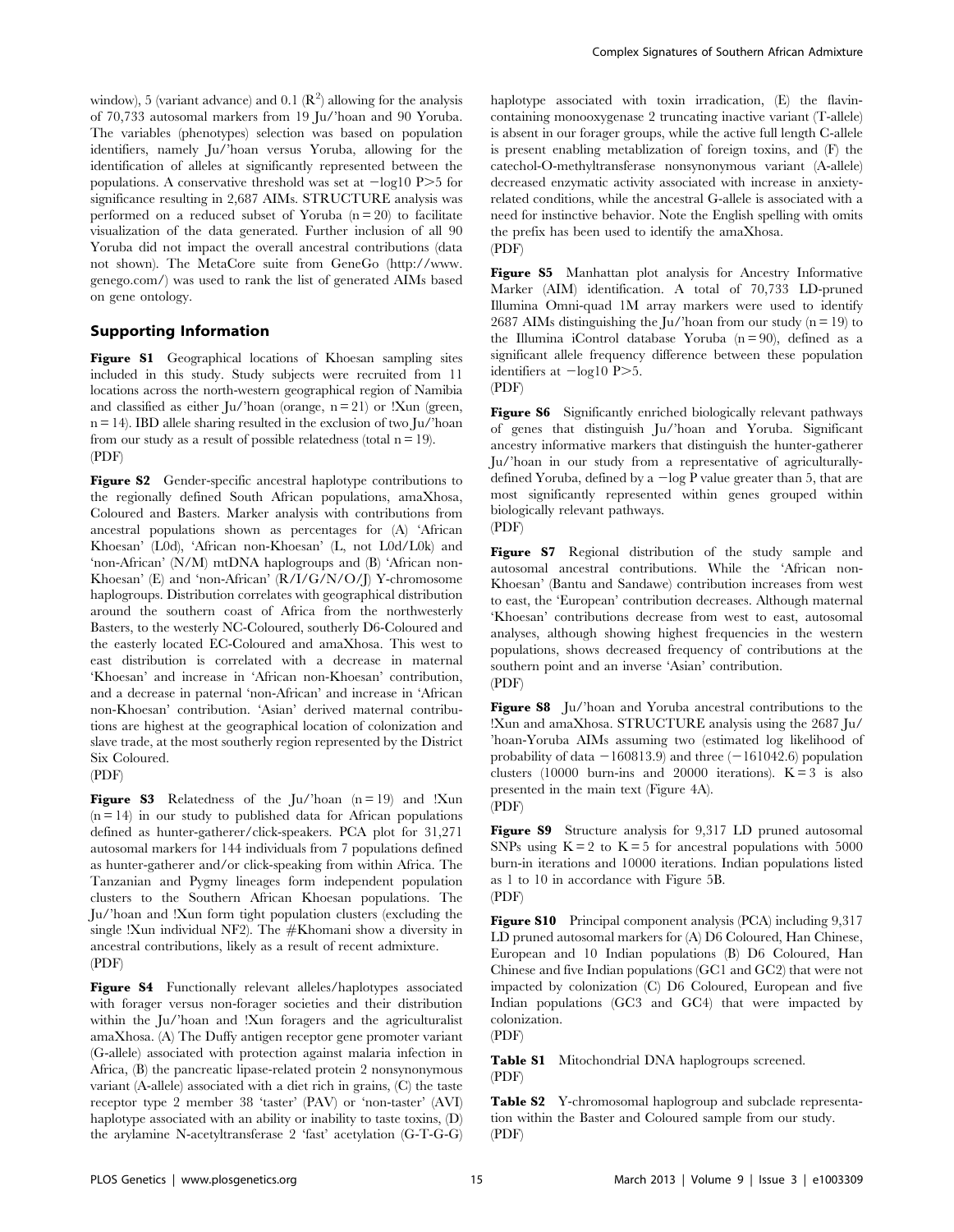window), 5 (variant advance) and 0.1 ( $\mathbb{R}^2$ ) allowing for the analysis of 70,733 autosomal markers from 19 Ju/'hoan and 90 Yoruba. The variables (phenotypes) selection was based on population identifiers, namely Ju/'hoan versus Yoruba, allowing for the identification of alleles at significantly represented between the populations. A conservative threshold was set at  $-\log 10$  P $>$ 5 for significance resulting in 2,687 AIMs. STRUCTURE analysis was performed on a reduced subset of Yoruba  $(n = 20)$  to facilitate visualization of the data generated. Further inclusion of all 90 Yoruba did not impact the overall ancestral contributions (data not shown). The MetaCore suite from GeneGo (http://www. genego.com/) was used to rank the list of generated AIMs based on gene ontology.

# Supporting Information

Figure S1 Geographical locations of Khoesan sampling sites included in this study. Study subjects were recruited from 11 locations across the north-western geographical region of Namibia and classified as either Ju/'hoan (orange,  $n = 21$ ) or !Xun (green,  $n = 14$ ). IBD allele sharing resulted in the exclusion of two  $\lceil u \rceil$  hoan from our study as a result of possible relatedness (total  $n = 19$ ). (PDF)

Figure S2 Gender-specific ancestral haplotype contributions to the regionally defined South African populations, amaXhosa, Coloured and Basters. Marker analysis with contributions from ancestral populations shown as percentages for (A) 'African Khoesan' (L0d), 'African non-Khoesan' (L, not L0d/L0k) and 'non-African' (N/M) mtDNA haplogroups and (B) 'African non-Khoesan' (E) and 'non-African' (R/I/G/N/O/J) Y-chromosome haplogroups. Distribution correlates with geographical distribution around the southern coast of Africa from the northwesterly Basters, to the westerly NC-Coloured, southerly D6-Coloured and the easterly located EC-Coloured and amaXhosa. This west to east distribution is correlated with a decrease in maternal 'Khoesan' and increase in 'African non-Khoesan' contribution, and a decrease in paternal 'non-African' and increase in 'African non-Khoesan' contribution. 'Asian' derived maternal contributions are highest at the geographical location of colonization and slave trade, at the most southerly region represented by the District Six Coloured.

(PDF)

**Figure S3** Relatedness of the Ju/'hoan  $(n = 19)$  and !Xun  $(n = 14)$  in our study to published data for African populations defined as hunter-gatherer/click-speakers. PCA plot for 31,271 autosomal markers for 144 individuals from 7 populations defined as hunter-gatherer and/or click-speaking from within Africa. The Tanzanian and Pygmy lineages form independent population clusters to the Southern African Khoesan populations. The Ju/'hoan and !Xun form tight population clusters (excluding the single !Xun individual NF2). The #Khomani show a diversity in ancestral contributions, likely as a result of recent admixture. (PDF)

Figure S4 Functionally relevant alleles/haplotypes associated with forager versus non-forager societies and their distribution within the Ju/'hoan and !Xun foragers and the agriculturalist amaXhosa. (A) The Duffy antigen receptor gene promoter variant (G-allele) associated with protection against malaria infection in Africa, (B) the pancreatic lipase-related protein 2 nonsynonymous variant (A-allele) associated with a diet rich in grains, (C) the taste receptor type 2 member 38 'taster' (PAV) or 'non-taster' (AVI) haplotype associated with an ability or inability to taste toxins, (D) the arylamine N-acetyltransferase 2 'fast' acetylation (G-T-G-G) haplotype associated with toxin irradication, (E) the flavincontaining monooxygenase 2 truncating inactive variant (T-allele) is absent in our forager groups, while the active full length C-allele is present enabling metablization of foreign toxins, and (F) the catechol-O-methyltransferase nonsynonymous variant (A-allele) decreased enzymatic activity associated with increase in anxietyrelated conditions, while the ancestral G-allele is associated with a need for instinctive behavior. Note the English spelling with omits the prefix has been used to identify the amaXhosa. (PDF)

Figure S5 Manhattan plot analysis for Ancestry Informative Marker (AIM) identification. A total of 70,733 LD-pruned Illumina Omni-quad 1M array markers were used to identify 2687 AIMs distinguishing the Ju/'hoan from our study ( $n = 19$ ) to the Illumina iControl database Yoruba  $(n = 90)$ , defined as a significant allele frequency difference between these population identifiers at  $-\log 10$  P $>5$ . (PDF)

Figure S6 Significantly enriched biologically relevant pathways of genes that distinguish Ju/'hoan and Yoruba. Significant ancestry informative markers that distinguish the hunter-gatherer Ju/'hoan in our study from a representative of agriculturallydefined Yoruba, defined by a  $-\log P$  value greater than 5, that are most significantly represented within genes grouped within biologically relevant pathways.



Figure S7 Regional distribution of the study sample and autosomal ancestral contributions. While the 'African non-Khoesan' (Bantu and Sandawe) contribution increases from west to east, the 'European' contribution decreases. Although maternal 'Khoesan' contributions decrease from west to east, autosomal analyses, although showing highest frequencies in the western populations, shows decreased frequency of contributions at the southern point and an inverse 'Asian' contribution. (PDF)

Figure S8 Ju/'hoan and Yoruba ancestral contributions to the !Xun and amaXhosa. STRUCTURE analysis using the 2687 Ju/ 'hoan-Yoruba AIMs assuming two (estimated log likelihood of probability of data  $-160813.9$ ) and three ( $-161042.6$ ) population clusters (10000 burn-ins and 20000 iterations).  $K = 3$  is also presented in the main text (Figure 4A). (PDF)

Figure S9 Structure analysis for 9,317 LD pruned autosomal SNPs using  $K = 2$  to  $K = 5$  for ancestral populations with 5000 burn-in iterations and 10000 iterations. Indian populations listed as 1 to 10 in accordance with Figure 5B. (PDF)

Figure S10 Principal component analysis (PCA) including 9,317 LD pruned autosomal markers for (A) D6 Coloured, Han Chinese, European and 10 Indian populations (B) D6 Coloured, Han Chinese and five Indian populations (GC1 and GC2) that were not impacted by colonization (C) D6 Coloured, European and five Indian populations (GC3 and GC4) that were impacted by colonization.

(PDF)

Table S1 Mitochondrial DNA haplogroups screened. (PDF)

Table S2 Y-chromosomal haplogroup and subclade representation within the Baster and Coloured sample from our study. (PDF)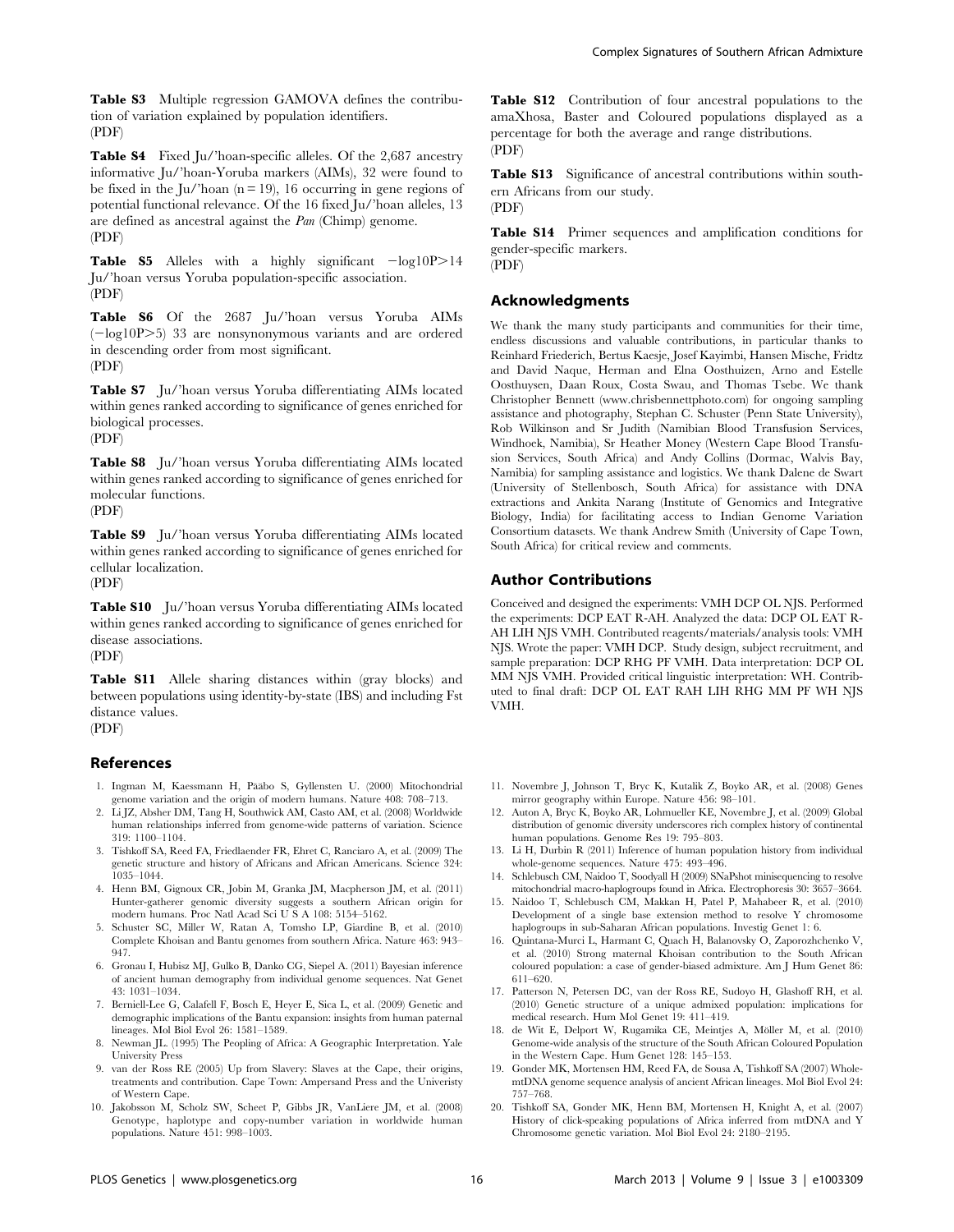Table S3 Multiple regression GAMOVA defines the contribution of variation explained by population identifiers.  $(PDF)$ 

Table S4 Fixed Ju/'hoan-specific alleles. Of the 2,687 ancestry informative Ju/'hoan-Yoruba markers (AIMs), 32 were found to be fixed in the Ju/'hoan ( $n = 19$ ), 16 occurring in gene regions of potential functional relevance. Of the 16 fixed Ju/'hoan alleles, 13 are defined as ancestral against the Pan (Chimp) genome. (PDF)

**Table S5** Alleles with a highly significant  $-\log 10P > 14$ Ju/'hoan versus Yoruba population-specific association.  $(PDF)$ 

Table S6 Of the 2687 Ju/'hoan versus Yoruba AIMs  $(-\log 10P > 5)$  33 are nonsynonymous variants and are ordered in descending order from most significant. (PDF)

Table S7 Ju/'hoan versus Yoruba differentiating AIMs located within genes ranked according to significance of genes enriched for biological processes. (PDF)

Table S8 Ju/'hoan versus Yoruba differentiating AIMs located within genes ranked according to significance of genes enriched for molecular functions.

(PDF)

Table S9 Ju/'hoan versus Yoruba differentiating AIMs located within genes ranked according to significance of genes enriched for cellular localization.

(PDF)

Table S10 Ju/'hoan versus Yoruba differentiating AIMs located within genes ranked according to significance of genes enriched for disease associations.

(PDF)

Table S11 Allele sharing distances within (gray blocks) and between populations using identity-by-state (IBS) and including Fst distance values. (PDF)

# References

- 1. Ingman M, Kaessmann H, Pääbo S, Gyllensten U. (2000) Mitochondrial genome variation and the origin of modern humans. Nature 408: 708–713.
- 2. Li JZ, Absher DM, Tang H, Southwick AM, Casto AM, et al. (2008) Worldwide human relationships inferred from genome-wide patterns of variation. Science 319: 1100–1104.
- 3. Tishkoff SA, Reed FA, Friedlaender FR, Ehret C, Ranciaro A, et al. (2009) The genetic structure and history of Africans and African Americans. Science 324: 1035–1044.
- 4. Henn BM, Gignoux CR, Jobin M, Granka JM, Macpherson JM, et al. (2011) Hunter-gatherer genomic diversity suggests a southern African origin for modern humans. Proc Natl Acad Sci U S A 108: 5154–5162.
- 5. Schuster SC, Miller W, Ratan A, Tomsho LP, Giardine B, et al. (2010) Complete Khoisan and Bantu genomes from southern Africa. Nature 463: 943– 947.
- 6. Gronau I, Hubisz MJ, Gulko B, Danko CG, Siepel A. (2011) Bayesian inference of ancient human demography from individual genome sequences. Nat Genet 43: 1031–1034.
- 7. Berniell-Lee G, Calafell F, Bosch E, Heyer E, Sica L, et al. (2009) Genetic and demographic implications of the Bantu expansion: insights from human paternal lineages. Mol Biol Evol 26: 1581–1589.
- 8. Newman JL. (1995) The Peopling of Africa: A Geographic Interpretation. Yale University Press
- 9. van der Ross RE (2005) Up from Slavery: Slaves at the Cape, their origins, treatments and contribution. Cape Town: Ampersand Press and the Univeristy of Western Cape.
- 10. Jakobsson M, Scholz SW, Scheet P, Gibbs JR, VanLiere JM, et al. (2008) Genotype, haplotype and copy-number variation in worldwide human populations. Nature 451: 998–1003.

Table S12 Contribution of four ancestral populations to the amaXhosa, Baster and Coloured populations displayed as a percentage for both the average and range distributions. (PDF)

Table S13 Significance of ancestral contributions within southern Africans from our study. (PDF)

Table S14 Primer sequences and amplification conditions for gender-specific markers. (PDF)

# Acknowledgments

We thank the many study participants and communities for their time, endless discussions and valuable contributions, in particular thanks to Reinhard Friederich, Bertus Kaesje, Josef Kayimbi, Hansen Mische, Fridtz and David Naque, Herman and Elna Oosthuizen, Arno and Estelle Oosthuysen, Daan Roux, Costa Swau, and Thomas Tsebe. We thank Christopher Bennett (www.chrisbennettphoto.com) for ongoing sampling assistance and photography, Stephan C. Schuster (Penn State University), Rob Wilkinson and Sr Judith (Namibian Blood Transfusion Services, Windhoek, Namibia), Sr Heather Money (Western Cape Blood Transfusion Services, South Africa) and Andy Collins (Dormac, Walvis Bay, Namibia) for sampling assistance and logistics. We thank Dalene de Swart (University of Stellenbosch, South Africa) for assistance with DNA extractions and Ankita Narang (Institute of Genomics and Integrative Biology, India) for facilitating access to Indian Genome Variation Consortium datasets. We thank Andrew Smith (University of Cape Town, South Africa) for critical review and comments.

# Author Contributions

Conceived and designed the experiments: VMH DCP OL NJS. Performed the experiments: DCP EAT R-AH. Analyzed the data: DCP OL EAT R-AH LIH NJS VMH. Contributed reagents/materials/analysis tools: VMH NJS. Wrote the paper: VMH DCP. Study design, subject recruitment, and sample preparation: DCP RHG PF VMH. Data interpretation: DCP OL MM NJS VMH. Provided critical linguistic interpretation: WH. Contributed to final draft: DCP OL EAT RAH LIH RHG MM PF WH NJS VMH.

- 11. Novembre J, Johnson T, Bryc K, Kutalik Z, Boyko AR, et al. (2008) Genes mirror geography within Europe. Nature 456: 98–101.
- 12. Auton A, Bryc K, Boyko AR, Lohmueller KE, Novembre J, et al. (2009) Global distribution of genomic diversity underscores rich complex history of continental human populations. Genome Res 19: 795–803.
- 13. Li H, Durbin R (2011) Inference of human population history from individual whole-genome sequences. Nature 475: 493–496.
- 14. Schlebusch CM, Naidoo T, Soodyall H (2009) SNaPshot minisequencing to resolve mitochondrial macro-haplogroups found in Africa. Electrophoresis 30: 3657–3664.
- 15. Naidoo T, Schlebusch CM, Makkan H, Patel P, Mahabeer R, et al. (2010) Development of a single base extension method to resolve Y chromosome haplogroups in sub-Saharan African populations. Investig Genet 1: 6.
- 16. Quintana-Murci L, Harmant C, Quach H, Balanovsky O, Zaporozhchenko V, et al. (2010) Strong maternal Khoisan contribution to the South African coloured population: a case of gender-biased admixture. Am J Hum Genet 86: 611–620.
- 17. Patterson N, Petersen DC, van der Ross RE, Sudoyo H, Glashoff RH, et al. (2010) Genetic structure of a unique admixed population: implications for medical research. Hum Mol Genet 19: 411–419.
- 18. de Wit E, Delport W, Rugamika CE, Meintjes A, Möller M, et al. (2010) Genome-wide analysis of the structure of the South African Coloured Population in the Western Cape. Hum Genet 128: 145–153.
- 19. Gonder MK, Mortensen HM, Reed FA, de Sousa A, Tishkoff SA (2007) WholemtDNA genome sequence analysis of ancient African lineages. Mol Biol Evol 24: 757–768.
- 20. Tishkoff SA, Gonder MK, Henn BM, Mortensen H, Knight A, et al. (2007) History of click-speaking populations of Africa inferred from mtDNA and Y Chromosome genetic variation. Mol Biol Evol 24: 2180–2195.